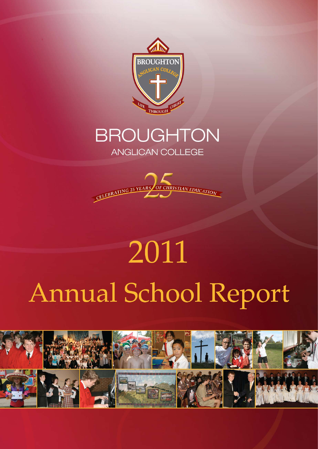

## **BROUGHTON**

ANGLICAN COLLEGE



# 2011 Annual School Report

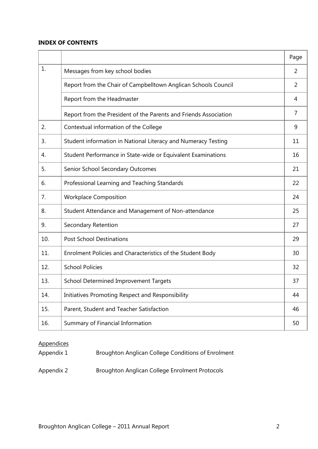#### **INDEX OF CONTENTS**

|     |                                                                  | Page           |
|-----|------------------------------------------------------------------|----------------|
| 1.  | Messages from key school bodies                                  | $\overline{2}$ |
|     | Report from the Chair of Campbelltown Anglican Schools Council   | 2              |
|     | Report from the Headmaster                                       | 4              |
|     | Report from the President of the Parents and Friends Association | 7              |
| 2.  | Contextual information of the College                            | 9              |
| 3.  | Student information in National Literacy and Numeracy Testing    | 11             |
| 4.  | Student Performance in State-wide or Equivalent Examinations     | 16             |
| 5.  | Senior School Secondary Outcomes                                 | 21             |
| 6.  | Professional Learning and Teaching Standards                     | 22             |
| 7.  | <b>Workplace Composition</b>                                     | 24             |
| 8.  | Student Attendance and Management of Non-attendance              | 25             |
| 9.  | Secondary Retention                                              | 27             |
| 10. | <b>Post School Destinations</b>                                  | 29             |
| 11. | Enrolment Policies and Characteristics of the Student Body       | 30             |
| 12. | <b>School Policies</b>                                           | 32             |
| 13. | <b>School Determined Improvement Targets</b>                     | 37             |
| 14. | Initiatives Promoting Respect and Responsibility                 | 44             |
| 15. | Parent, Student and Teacher Satisfaction                         | 46             |
| 16. | Summary of Financial Information                                 | 50             |

#### **Appendices**

| Appendix 1 | Broughton Anglican College Conditions of Enrolment |
|------------|----------------------------------------------------|
| Appendix 2 | Broughton Anglican College Enrolment Protocols     |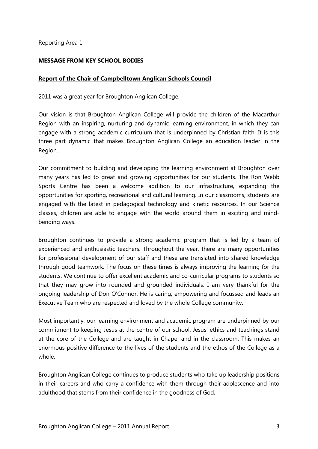#### **MESSAGE FROM KEY SCHOOL BODIES**

#### **Report of the Chair of Campbelltown Anglican Schools Council**

2011 was a great year for Broughton Anglican College.

Our vision is that Broughton Anglican College will provide the children of the Macarthur Region with an inspiring, nurturing and dynamic learning environment, in which they can engage with a strong academic curriculum that is underpinned by Christian faith. It is this three part dynamic that makes Broughton Anglican College an education leader in the Region.

Our commitment to building and developing the learning environment at Broughton over many years has led to great and growing opportunities for our students. The Ron Webb Sports Centre has been a welcome addition to our infrastructure, expanding the opportunities for sporting, recreational and cultural learning. In our classrooms, students are engaged with the latest in pedagogical technology and kinetic resources. In our Science classes, children are able to engage with the world around them in exciting and mindbending ways.

Broughton continues to provide a strong academic program that is led by a team of experienced and enthusiastic teachers. Throughout the year, there are many opportunities for professional development of our staff and these are translated into shared knowledge through good teamwork. The focus on these times is always improving the learning for the students. We continue to offer excellent academic and co-curricular programs to students so that they may grow into rounded and grounded individuals. I am very thankful for the ongoing leadership of Don O'Connor. He is caring, empowering and focussed and leads an Executive Team who are respected and loved by the whole College community.

Most importantly, our learning environment and academic program are underpinned by our commitment to keeping Jesus at the centre of our school. Jesus' ethics and teachings stand at the core of the College and are taught in Chapel and in the classroom. This makes an enormous positive difference to the lives of the students and the ethos of the College as a whole.

Broughton Anglican College continues to produce students who take up leadership positions in their careers and who carry a confidence with them through their adolescence and into adulthood that stems from their confidence in the goodness of God.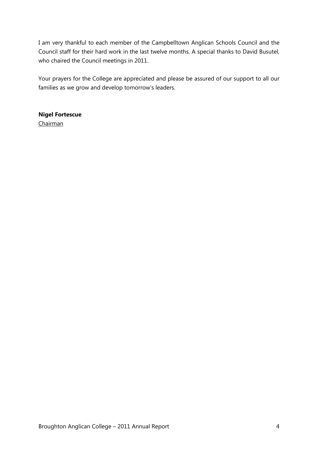I am very thankful to each member of the Campbelltown Anglican Schools Council and the Council staff for their hard work in the last twelve months. A special thanks to David Busutel, who chaired the Council meetings in 2011.

Your prayers for the College are appreciated and please be assured of our support to all our families as we grow and develop tomorrow's leaders.

#### **Nigel Fortescue** Chairman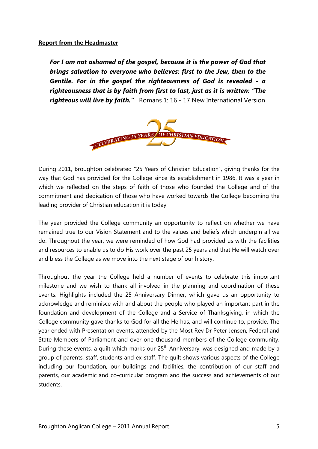#### **Report from the Headmaster**

*For I am not ashamed of the gospel, because it is the power of God that brings salvation to everyone who believes: first to the Jew, then to the Gentile. For in the gospel the righteousness of God is revealed - a righteousness that is by faith from first to last, just as it is written: "The righteous will live by faith."* Romans 1: 16 - 17 New International Version



During 2011, Broughton celebrated "25 Years of Christian Education", giving thanks for the way that God has provided for the College since its establishment in 1986. It was a year in which we reflected on the steps of faith of those who founded the College and of the commitment and dedication of those who have worked towards the College becoming the leading provider of Christian education it is today.

The year provided the College community an opportunity to reflect on whether we have remained true to our Vision Statement and to the values and beliefs which underpin all we do. Throughout the year, we were reminded of how God had provided us with the facilities and resources to enable us to do His work over the past 25 years and that He will watch over and bless the College as we move into the next stage of our history.

Throughout the year the College held a number of events to celebrate this important milestone and we wish to thank all involved in the planning and coordination of these events. Highlights included the 25 Anniversary Dinner, which gave us an opportunity to acknowledge and reminisce with and about the people who played an important part in the foundation and development of the College and a Service of Thanksgiving, in which the College community gave thanks to God for all the He has, and will continue to, provide. The year ended with Presentation events, attended by the Most Rev Dr Peter Jensen, Federal and State Members of Parliament and over one thousand members of the College community. During these events, a quilt which marks our  $25<sup>th</sup>$  Anniversary, was designed and made by a group of parents, staff, students and ex-staff. The quilt shows various aspects of the College including our foundation, our buildings and facilities, the contribution of our staff and parents, our academic and co-curricular program and the success and achievements of our students.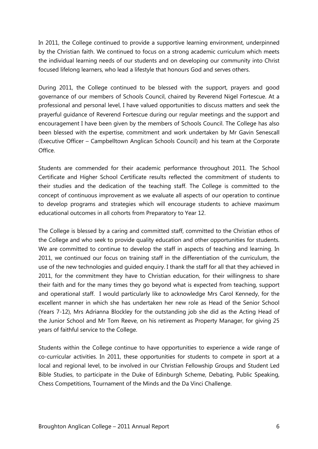In 2011, the College continued to provide a supportive learning environment, underpinned by the Christian faith. We continued to focus on a strong academic curriculum which meets the individual learning needs of our students and on developing our community into Christ focused lifelong learners, who lead a lifestyle that honours God and serves others.

During 2011, the College continued to be blessed with the support, prayers and good governance of our members of Schools Council, chaired by Reverend Nigel Fortescue. At a professional and personal level, I have valued opportunities to discuss matters and seek the prayerful guidance of Reverend Fortescue during our regular meetings and the support and encouragement I have been given by the members of Schools Council. The College has also been blessed with the expertise, commitment and work undertaken by Mr Gavin Senescall (Executive Officer – Campbelltown Anglican Schools Council) and his team at the Corporate Office.

Students are commended for their academic performance throughout 2011. The School Certificate and Higher School Certificate results reflected the commitment of students to their studies and the dedication of the teaching staff. The College is committed to the concept of continuous improvement as we evaluate all aspects of our operation to continue to develop programs and strategies which will encourage students to achieve maximum educational outcomes in all cohorts from Preparatory to Year 12.

The College is blessed by a caring and committed staff, committed to the Christian ethos of the College and who seek to provide quality education and other opportunities for students. We are committed to continue to develop the staff in aspects of teaching and learning. In 2011, we continued our focus on training staff in the differentiation of the curriculum, the use of the new technologies and guided enquiry. I thank the staff for all that they achieved in 2011, for the commitment they have to Christian education, for their willingness to share their faith and for the many times they go beyond what is expected from teaching, support and operational staff. I would particularly like to acknowledge Mrs Carol Kennedy, for the excellent manner in which she has undertaken her new role as Head of the Senior School (Years 7-12), Mrs Adrianna Blockley for the outstanding job she did as the Acting Head of the Junior School and Mr Tom Reeve, on his retirement as Property Manager, for giving 25 years of faithful service to the College.

Students within the College continue to have opportunities to experience a wide range of co-curricular activities. In 2011, these opportunities for students to compete in sport at a local and regional level, to be involved in our Christian Fellowship Groups and Student Led Bible Studies, to participate in the Duke of Edinburgh Scheme, Debating, Public Speaking, Chess Competitions, Tournament of the Minds and the Da Vinci Challenge.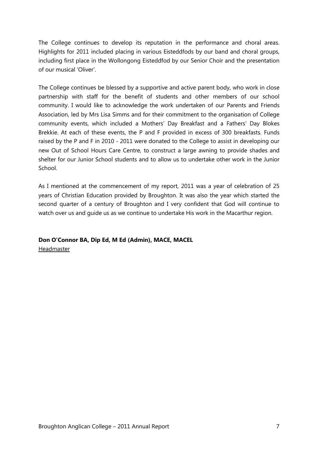The College continues to develop its reputation in the performance and choral areas. Highlights for 2011 included placing in various Eisteddfods by our band and choral groups, including first place in the Wollongong Eisteddfod by our Senior Choir and the presentation of our musical 'Oliver'.

The College continues be blessed by a supportive and active parent body, who work in close partnership with staff for the benefit of students and other members of our school community. I would like to acknowledge the work undertaken of our Parents and Friends Association, led by Mrs Lisa Simms and for their commitment to the organisation of College community events, which included a Mothers' Day Breakfast and a Fathers' Day Blokes Brekkie. At each of these events, the P and F provided in excess of 300 breakfasts. Funds raised by the P and F in 2010 - 2011 were donated to the College to assist in developing our new Out of School Hours Care Centre, to construct a large awning to provide shades and shelter for our Junior School students and to allow us to undertake other work in the Junior School.

As I mentioned at the commencement of my report, 2011 was a year of celebration of 25 years of Christian Education provided by Broughton. It was also the year which started the second quarter of a century of Broughton and I very confident that God will continue to watch over us and guide us as we continue to undertake His work in the Macarthur region.

**Don O'Connor BA, Dip Ed, M Ed (Admin), MACE, MACEL**

Headmaster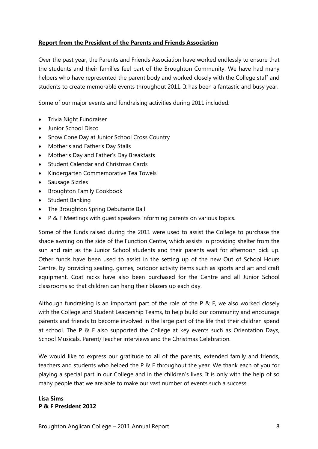#### **Report from the President of the Parents and Friends Association**

Over the past year, the Parents and Friends Association have worked endlessly to ensure that the students and their families feel part of the Broughton Community. We have had many helpers who have represented the parent body and worked closely with the College staff and students to create memorable events throughout 2011. It has been a fantastic and busy year.

Some of our major events and fundraising activities during 2011 included:

- Trivia Night Fundraiser
- Junior School Disco
- Snow Cone Day at Junior School Cross Country
- Mother's and Father's Day Stalls
- Mother's Day and Father's Day Breakfasts
- Student Calendar and Christmas Cards
- Kindergarten Commemorative Tea Towels
- Sausage Sizzles
- Broughton Family Cookbook
- Student Banking
- The Broughton Spring Debutante Ball
- P & F Meetings with guest speakers informing parents on various topics.

Some of the funds raised during the 2011 were used to assist the College to purchase the shade awning on the side of the Function Centre, which assists in providing shelter from the sun and rain as the Junior School students and their parents wait for afternoon pick up. Other funds have been used to assist in the setting up of the new Out of School Hours Centre, by providing seating, games, outdoor activity items such as sports and art and craft equipment. Coat racks have also been purchased for the Centre and all Junior School classrooms so that children can hang their blazers up each day.

Although fundraising is an important part of the role of the P  $\&$  F, we also worked closely with the College and Student Leadership Teams, to help build our community and encourage parents and friends to become involved in the large part of the life that their children spend at school. The P  $\&$  F also supported the College at key events such as Orientation Days, School Musicals, Parent/Teacher interviews and the Christmas Celebration.

We would like to express our gratitude to all of the parents, extended family and friends, teachers and students who helped the P & F throughout the year. We thank each of you for playing a special part in our College and in the children's lives. It is only with the help of so many people that we are able to make our vast number of events such a success.

#### **Lisa Sims P & F President 2012**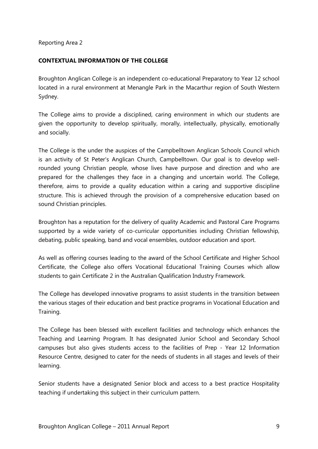#### **CONTEXTUAL INFORMATION OF THE COLLEGE**

Broughton Anglican College is an independent co-educational Preparatory to Year 12 school located in a rural environment at Menangle Park in the Macarthur region of South Western Sydney.

The College aims to provide a disciplined, caring environment in which our students are given the opportunity to develop spiritually, morally, intellectually, physically, emotionally and socially.

The College is the under the auspices of the Campbelltown Anglican Schools Council which is an activity of St Peter's Anglican Church, Campbelltown. Our goal is to develop wellrounded young Christian people, whose lives have purpose and direction and who are prepared for the challenges they face in a changing and uncertain world. The College, therefore, aims to provide a quality education within a caring and supportive discipline structure. This is achieved through the provision of a comprehensive education based on sound Christian principles.

Broughton has a reputation for the delivery of quality Academic and Pastoral Care Programs supported by a wide variety of co-curricular opportunities including Christian fellowship, debating, public speaking, band and vocal ensembles, outdoor education and sport.

As well as offering courses leading to the award of the School Certificate and Higher School Certificate, the College also offers Vocational Educational Training Courses which allow students to gain Certificate 2 in the Australian Qualification Industry Framework.

The College has developed innovative programs to assist students in the transition between the various stages of their education and best practice programs in Vocational Education and Training.

The College has been blessed with excellent facilities and technology which enhances the Teaching and Learning Program. It has designated Junior School and Secondary School campuses but also gives students access to the facilities of Prep - Year 12 Information Resource Centre, designed to cater for the needs of students in all stages and levels of their learning.

Senior students have a designated Senior block and access to a best practice Hospitality teaching if undertaking this subject in their curriculum pattern.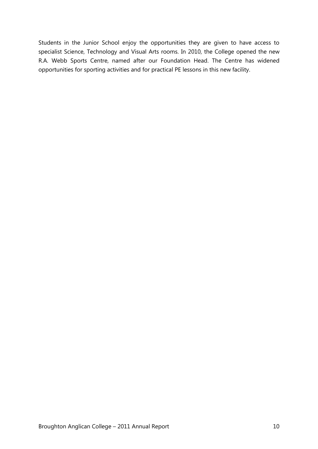Students in the Junior School enjoy the opportunities they are given to have access to specialist Science, Technology and Visual Arts rooms. In 2010, the College opened the new R.A. Webb Sports Centre, named after our Foundation Head. The Centre has widened opportunities for sporting activities and for practical PE lessons in this new facility.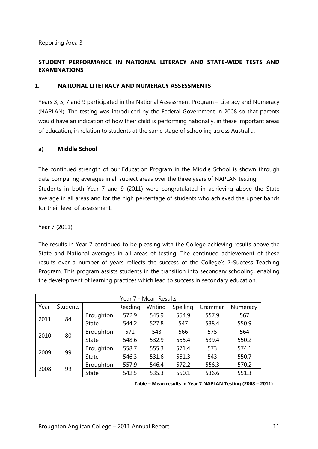#### **STUDENT PERFORMANCE IN NATIONAL LITERACY AND STATE-WIDE TESTS AND EXAMINATIONS**

#### **1. NATIONAL LITETRACY AND NUMERACY ASSESSMENTS**

Years 3, 5, 7 and 9 participated in the National Assessment Program – Literacy and Numeracy (NAPLAN). The testing was introduced by the Federal Government in 2008 so that parents would have an indication of how their child is performing nationally, in these important areas of education, in relation to students at the same stage of schooling across Australia.

#### **a) Middle School**

The continued strength of our Education Program in the Middle School is shown through data comparing averages in all subject areas over the three years of NAPLAN testing. Students in both Year 7 and 9 (2011) were congratulated in achieving above the State average in all areas and for the high percentage of students who achieved the upper bands for their level of assessment.

#### Year 7 (2011)

The results in Year 7 continued to be pleasing with the College achieving results above the State and National averages in all areas of testing. The continued achievement of these results over a number of years reflects the success of the College's 7-Success Teaching Program. This program assists students in the transition into secondary schooling, enabling the development of learning practices which lead to success in secondary education.

| Year 7 - Mean Results |                 |                  |         |         |          |         |          |  |
|-----------------------|-----------------|------------------|---------|---------|----------|---------|----------|--|
| Year                  | <b>Students</b> |                  | Reading | Writing | Spelling | Grammar | Numeracy |  |
|                       |                 | Broughton        | 572.9   | 545.9   | 554.9    | 557.9   | 567      |  |
| 84<br>2011            | <b>State</b>    | 544.2            | 527.8   | 547     | 538.4    | 550.9   |          |  |
|                       |                 | Broughton        | 571     | 543     | 566      | 575     | 564      |  |
| 80<br>2010            | <b>State</b>    | 548.6            | 532.9   | 555.4   | 539.4    | 550.2   |          |  |
| 2009                  | 99              | Broughton        | 558.7   | 555.3   | 571.4    | 573     | 574.1    |  |
|                       |                 | <b>State</b>     | 546.3   | 531.6   | 551.3    | 543     | 550.7    |  |
|                       |                 | <b>Broughton</b> | 557.9   | 546.4   | 572.2    | 556.3   | 570.2    |  |
| 99<br>2008            |                 | <b>State</b>     | 542.5   | 535.3   | 550.1    | 536.6   | 551.3    |  |

| Table - Mean results in Year 7 NAPLAN Testing (2008 - 2011) |  |  |  |  |  |  |  |
|-------------------------------------------------------------|--|--|--|--|--|--|--|
|-------------------------------------------------------------|--|--|--|--|--|--|--|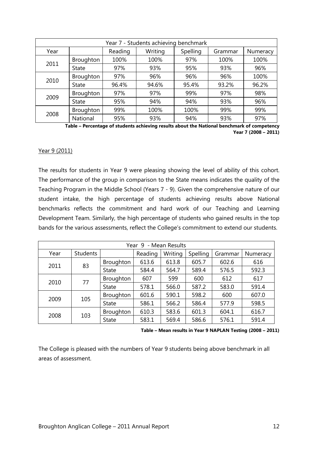| Year 7 - Students achieving benchmark |              |         |         |          |         |          |  |  |  |
|---------------------------------------|--------------|---------|---------|----------|---------|----------|--|--|--|
| Year                                  |              | Reading | Writing | Spelling | Grammar | Numeracy |  |  |  |
|                                       | Broughton    | 100%    | 100%    | 97%      | 100%    | 100%     |  |  |  |
| 2011                                  | <b>State</b> | 97%     | 93%     | 95%      | 93%     | 96%      |  |  |  |
| 2010                                  | Broughton    | 97%     | 96%     | 96%      | 96%     | 100%     |  |  |  |
|                                       | <b>State</b> | 96.4%   | 94.6%   | 95.4%    | 93.2%   | 96.2%    |  |  |  |
|                                       | Broughton    | 97%     | 97%     | 99%      | 97%     | 98%      |  |  |  |
| 2009                                  | <b>State</b> | 95%     | 94%     | 94%      | 93%     | 96%      |  |  |  |
| 2008                                  | Broughton    | 99%     | 100%    | 100%     | 99%     | 99%      |  |  |  |
|                                       | National     | 95%     | 93%     | 94%      | 93%     | 97%      |  |  |  |

**Table – Percentage of students achieving results about the National benchmark of competency Year 7 (2008 – 2011)**

#### Year 9 (2011)

The results for students in Year 9 were pleasing showing the level of ability of this cohort. The performance of the group in comparison to the State means indicates the quality of the Teaching Program in the Middle School (Years 7 - 9). Given the comprehensive nature of our student intake, the high percentage of students achieving results above National benchmarks reflects the commitment and hard work of our Teaching and Learning Development Team. Similarly, the high percentage of students who gained results in the top bands for the various assessments, reflect the College's commitment to extend our students.

| Year 9 - Mean Results |                 |                  |         |         |          |         |          |  |  |
|-----------------------|-----------------|------------------|---------|---------|----------|---------|----------|--|--|
| Year                  | <b>Students</b> |                  | Reading | Writing | Spelling | Grammar | Numeracy |  |  |
| 2011                  |                 | Broughton        | 613.6   | 613.8   | 605.7    | 602.6   | 616      |  |  |
|                       | 83              | <b>State</b>     | 584.4   | 564.7   | 589.4    | 576.5   | 592.3    |  |  |
| 2010                  | 77              | <b>Broughton</b> | 607     | 599     | 600      | 612     | 617      |  |  |
|                       |                 | <b>State</b>     | 578.1   | 566.0   | 587.2    | 583.0   | 591.4    |  |  |
|                       | 105             | Broughton        | 601.6   | 590.1   | 598.2    | 600     | 607.0    |  |  |
| 2009                  |                 | <b>State</b>     | 586.1   | 566.2   | 586.4    | 577.9   | 598.5    |  |  |
| 2008                  |                 | Broughton        | 610.3   | 583.6   | 601.3    | 604.1   | 616.7    |  |  |
|                       | 103             | <b>State</b>     | 583.1   | 569.4   | 586.6    | 576.1   | 591.4    |  |  |

**Table – Mean results in Year 9 NAPLAN Testing (2008 – 2011)**

The College is pleased with the numbers of Year 9 students being above benchmark in all areas of assessment.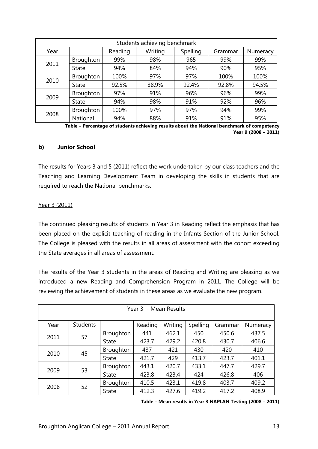| Students achieving benchmark |              |         |         |          |         |          |  |  |  |
|------------------------------|--------------|---------|---------|----------|---------|----------|--|--|--|
| Year                         |              | Reading | Writing | Spelling | Grammar | Numeracy |  |  |  |
|                              | Broughton    | 99%     | 98%     | 965      | 99%     | 99%      |  |  |  |
| 2011                         | <b>State</b> | 94%     | 84%     | 94%      | 90%     | 95%      |  |  |  |
| 2010                         | Broughton    | 100%    | 97%     | 97%      | 100%    | 100%     |  |  |  |
|                              | <b>State</b> | 92.5%   | 88.9%   | 92.4%    | 92.8%   | 94.5%    |  |  |  |
|                              | Broughton    | 97%     | 91%     | 96%      | 96%     | 99%      |  |  |  |
| 2009                         | <b>State</b> | 94%     | 98%     | 91%      | 92%     | 96%      |  |  |  |
| 2008                         | Broughton    | 100%    | 97%     | 97%      | 94%     | 99%      |  |  |  |
|                              | National     | 94%     | 88%     | 91%      | 91%     | 95%      |  |  |  |

**Table – Percentage of students achieving results about the National benchmark of competency Year 9 (2008 – 2011)**

#### **b) Junior School**

The results for Years 3 and 5 (2011) reflect the work undertaken by our class teachers and the Teaching and Learning Development Team in developing the skills in students that are required to reach the National benchmarks.

#### Year 3 (2011)

The continued pleasing results of students in Year 3 in Reading reflect the emphasis that has been placed on the explicit teaching of reading in the Infants Section of the Junior School. The College is pleased with the results in all areas of assessment with the cohort exceeding the State averages in all areas of assessment.

The results of the Year 3 students in the areas of Reading and Writing are pleasing as we introduced a new Reading and Comprehension Program in 2011, The College will be reviewing the achievement of students in these areas as we evaluate the new program.

| Year 3 - Mean Results |                 |                  |         |         |          |         |          |  |  |
|-----------------------|-----------------|------------------|---------|---------|----------|---------|----------|--|--|
| Year                  | <b>Students</b> |                  | Reading | Writing | Spelling | Grammar | Numeracy |  |  |
|                       | 57              | <b>Broughton</b> | 441     | 462.1   | 450      | 450.6   | 437.5    |  |  |
| 2011                  |                 | <b>State</b>     | 423.7   | 429.2   | 420.8    | 430.7   | 406.6    |  |  |
| 2010                  | 45              | <b>Broughton</b> | 437     | 421     | 430      | 420     | 410      |  |  |
|                       |                 | <b>State</b>     | 421.7   | 429     | 413.7    | 423.7   | 401.1    |  |  |
|                       |                 | <b>Broughton</b> | 443.1   | 420.7   | 433.1    | 447.7   | 429.7    |  |  |
| 2009                  | 53              | <b>State</b>     | 423.8   | 423.4   | 424      | 426.8   | 406      |  |  |
| 2008                  |                 | <b>Broughton</b> | 410.5   | 423.1   | 419.8    | 403.7   | 409.2    |  |  |
|                       | 52              | <b>State</b>     | 412.3   | 427.6   | 419.2    | 417.2   | 408.9    |  |  |

**Table – Mean results in Year 3 NAPLAN Testing (2008 – 2011)**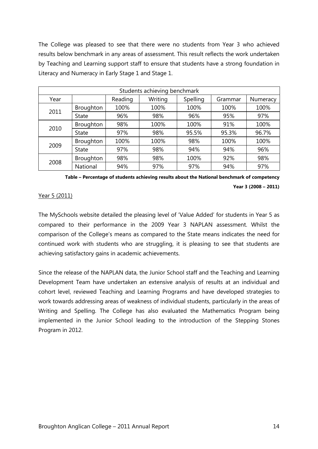The College was pleased to see that there were no students from Year 3 who achieved results below benchmark in any areas of assessment. This result reflects the work undertaken by Teaching and Learning support staff to ensure that students have a strong foundation in Literacy and Numeracy in Early Stage 1 and Stage 1.

| Students achieving benchmark |              |         |         |          |         |          |  |  |
|------------------------------|--------------|---------|---------|----------|---------|----------|--|--|
| Year                         |              | Reading | Writing | Spelling | Grammar | Numeracy |  |  |
| 2011                         | Broughton    | 100%    | 100%    | 100%     | 100%    | 100%     |  |  |
|                              | <b>State</b> | 96%     | 98%     | 96%      | 95%     | 97%      |  |  |
| 2010                         | Broughton    | 98%     | 100%    | 100%     | 91%     | 100%     |  |  |
|                              | <b>State</b> | 97%     | 98%     | 95.5%    | 95.3%   | 96.7%    |  |  |
|                              | Broughton    | 100%    | 100%    | 98%      | 100%    | 100%     |  |  |
| 2009                         | <b>State</b> | 97%     | 98%     | 94%      | 94%     | 96%      |  |  |
| 2008                         | Broughton    | 98%     | 98%     | 100%     | 92%     | 98%      |  |  |
|                              | National     | 94%     | 97%     | 97%      | 94%     | 97%      |  |  |

**Table – Percentage of students achieving results about the National benchmark of competency Year 3 (2008 – 2011)**

#### Year 5 (2011)

The MySchools website detailed the pleasing level of 'Value Added' for students in Year 5 as compared to their performance in the 2009 Year 3 NAPLAN assessment. Whilst the comparison of the College's means as compared to the State means indicates the need for continued work with students who are struggling, it is pleasing to see that students are achieving satisfactory gains in academic achievements.

Since the release of the NAPLAN data, the Junior School staff and the Teaching and Learning Development Team have undertaken an extensive analysis of results at an individual and cohort level, reviewed Teaching and Learning Programs and have developed strategies to work towards addressing areas of weakness of individual students, particularly in the areas of Writing and Spelling. The College has also evaluated the Mathematics Program being implemented in the Junior School leading to the introduction of the Stepping Stones Program in 2012.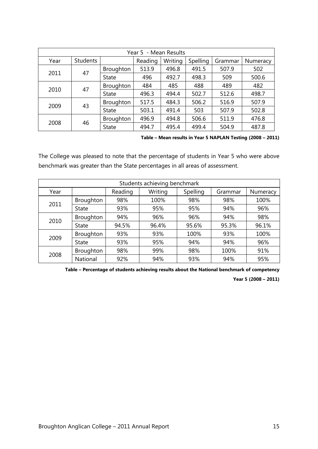| Year 5 - Mean Results |                 |                  |         |         |          |         |          |  |  |
|-----------------------|-----------------|------------------|---------|---------|----------|---------|----------|--|--|
| Year                  | <b>Students</b> |                  | Reading | Writing | Spelling | Grammar | Numeracy |  |  |
|                       |                 | <b>Broughton</b> | 513.9   | 496.8   | 491.5    | 507.9   | 502      |  |  |
| 2011                  | 47              | <b>State</b>     | 496     | 492.7   | 498.3    | 509     | 500.6    |  |  |
| 2010                  | 47              | Broughton        | 484     | 485     | 488      | 489     | 482      |  |  |
|                       |                 | State            | 496.3   | 494.4   | 502.7    | 512.6   | 498.7    |  |  |
|                       |                 | Broughton        | 517.5   | 484.3   | 506.2    | 516.9   | 507.9    |  |  |
| 2009                  | 43              | <b>State</b>     | 503.1   | 491.4   | 503      | 507.9   | 502.8    |  |  |
| 2008                  |                 | Broughton        | 496.9   | 494.8   | 506.6    | 511.9   | 476.8    |  |  |
|                       | 46              | <b>State</b>     | 494.7   | 495.4   | 499.4    | 504.9   | 487.8    |  |  |

**Table – Mean results in Year 5 NAPLAN Testing (2008 – 2011)**

The College was pleased to note that the percentage of students in Year 5 who were above benchmark was greater than the State percentages in all areas of assessment.

| Students achieving benchmark |              |         |         |          |         |          |  |  |  |
|------------------------------|--------------|---------|---------|----------|---------|----------|--|--|--|
| Year                         |              | Reading | Writing | Spelling | Grammar | Numeracy |  |  |  |
| 2011                         | Broughton    | 98%     | 100%    | 98%      | 98%     | 100%     |  |  |  |
|                              | <b>State</b> | 93%     | 95%     | 95%      | 94%     | 96%      |  |  |  |
| 2010                         | Broughton    | 94%     | 96%     | 96%      | 94%     | 98%      |  |  |  |
|                              | <b>State</b> | 94.5%   | 96.4%   | 95.6%    | 95.3%   | 96.1%    |  |  |  |
|                              | Broughton    | 93%     | 93%     | 100%     | 93%     | 100%     |  |  |  |
| 2009                         | <b>State</b> | 93%     | 95%     | 94%      | 94%     | 96%      |  |  |  |
| 2008                         | Broughton    | 98%     | 99%     | 98%      | 100%    | 91%      |  |  |  |
|                              | National     | 92%     | 94%     | 93%      | 94%     | 95%      |  |  |  |

**Table – Percentage of students achieving results about the National benchmark of competency** 

**Year 5 (2008 – 2011)**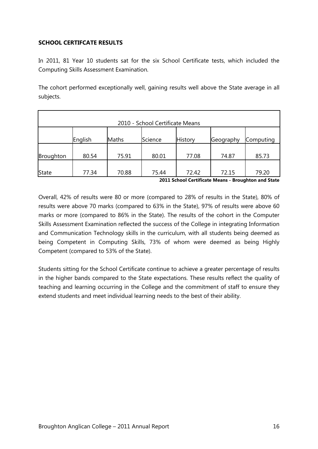#### **SCHOOL CERTIFCATE RESULTS**

In 2011, 81 Year 10 students sat for the six School Certificate tests, which included the Computing Skills Assessment Examination.

The cohort performed exceptionally well, gaining results well above the State average in all subjects.

| 2010 - School Certificate Means |         |       |         |                |           |           |  |  |
|---------------------------------|---------|-------|---------|----------------|-----------|-----------|--|--|
|                                 | English | Maths | Science | <b>History</b> | Geography | Computing |  |  |
| Broughton                       | 80.54   | 75.91 | 80.01   | 77.08          | 74.87     | 85.73     |  |  |
| <b>State</b>                    | 77.34   | 70.88 | 75.44   | 72.42          | 72.15     | 79.20     |  |  |

**2011 School Certificate Means - Broughton and State**

Overall, 42% of results were 80 or more (compared to 28% of results in the State), 80% of results were above 70 marks (compared to 63% in the State), 97% of results were above 60 marks or more (compared to 86% in the State). The results of the cohort in the Computer Skills Assessment Examination reflected the success of the College in integrating Information and Communication Technology skills in the curriculum, with all students being deemed as being Competent in Computing Skills, 73% of whom were deemed as being Highly Competent (compared to 53% of the State).

Students sitting for the School Certificate continue to achieve a greater percentage of results in the higher bands compared to the State expectations. These results reflect the quality of teaching and learning occurring in the College and the commitment of staff to ensure they extend students and meet individual learning needs to the best of their ability.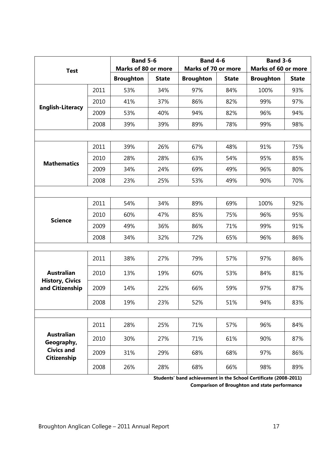| <b>Test</b>                               |      | <b>Band 5-6</b><br><b>Marks of 80 or more</b> |              | <b>Band 4-6</b><br><b>Marks of 70 or more</b> |              | <b>Band 3-6</b><br><b>Marks of 60 or more</b> |              |
|-------------------------------------------|------|-----------------------------------------------|--------------|-----------------------------------------------|--------------|-----------------------------------------------|--------------|
|                                           |      | <b>Broughton</b>                              | <b>State</b> | <b>Broughton</b>                              | <b>State</b> | <b>Broughton</b>                              | <b>State</b> |
|                                           | 2011 | 53%                                           | 34%          | 97%                                           | 84%          | 100%                                          | 93%          |
| <b>English-Literacy</b>                   | 2010 | 41%                                           | 37%          | 86%                                           | 82%          | 99%                                           | 97%          |
|                                           | 2009 | 53%                                           | 40%          | 94%                                           | 82%          | 96%                                           | 94%          |
|                                           | 2008 | 39%                                           | 39%          | 89%                                           | 78%          | 99%                                           | 98%          |
|                                           |      |                                               |              |                                               |              |                                               |              |
|                                           | 2011 | 39%                                           | 26%          | 67%                                           | 48%          | 91%                                           | 75%          |
| <b>Mathematics</b>                        | 2010 | 28%                                           | 28%          | 63%                                           | 54%          | 95%                                           | 85%          |
|                                           | 2009 | 34%                                           | 24%          | 69%                                           | 49%          | 96%                                           | 80%          |
|                                           | 2008 | 23%                                           | 25%          | 53%                                           | 49%          | 90%                                           | 70%          |
|                                           |      |                                               |              |                                               |              |                                               |              |
|                                           | 2011 | 54%                                           | 34%          | 89%                                           | 69%          | 100%                                          | 92%          |
| <b>Science</b>                            | 2010 | 60%                                           | 47%          | 85%                                           | 75%          | 96%                                           | 95%          |
|                                           | 2009 | 49%                                           | 36%          | 86%                                           | 71%          | 99%                                           | 91%          |
|                                           | 2008 | 34%                                           | 32%          | 72%                                           | 65%          | 96%                                           | 86%          |
|                                           |      |                                               |              |                                               |              |                                               |              |
|                                           | 2011 | 38%                                           | 27%          | 79%                                           | 57%          | 97%                                           | 86%          |
| <b>Australian</b>                         | 2010 | 13%                                           | 19%          | 60%                                           | 53%          | 84%                                           | 81%          |
| <b>History, Civics</b><br>and Citizenship | 2009 | 14%                                           | 22%          | 66%                                           | 59%          | 97%                                           | 87%          |
|                                           | 2008 | 19%                                           | 23%          | 52%                                           | 51%          | 94%                                           | 83%          |
|                                           |      |                                               |              |                                               |              |                                               |              |
|                                           | 2011 | 28%                                           | 25%          | 71%                                           | 57%          | 96%                                           | 84%          |
| <b>Australian</b><br>Geography,           | 2010 | 30%                                           | 27%          | 71%                                           | 61%          | 90%                                           | 87%          |
| <b>Civics and</b><br>Citizenship          | 2009 | 31%                                           | 29%          | 68%                                           | 68%          | 97%                                           | 86%          |
|                                           | 2008 | 26%                                           | 28%          | 68%                                           | 66%          | 98%                                           | 89%          |

**Students' band achievement in the School Certificate (2008-2011)** 

**Comparison of Broughton and state performance**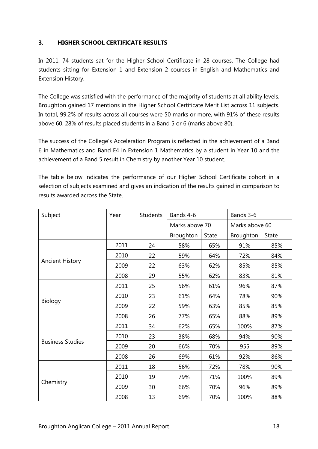#### **3. HIGHER SCHOOL CERTIFICATE RESULTS**

In 2011, 74 students sat for the Higher School Certificate in 28 courses. The College had students sitting for Extension 1 and Extension 2 courses in English and Mathematics and Extension History.

The College was satisfied with the performance of the majority of students at all ability levels. Broughton gained 17 mentions in the Higher School Certificate Merit List across 11 subjects. In total, 99.2% of results across all courses were 50 marks or more, with 91% of these results above 60. 28% of results placed students in a Band 5 or 6 (marks above 80).

The success of the College's Acceleration Program is reflected in the achievement of a Band 6 in Mathematics and Band E4 in Extension 1 Mathematics by a student in Year 10 and the achievement of a Band 5 result in Chemistry by another Year 10 student.

The table below indicates the performance of our Higher School Certificate cohort in a selection of subjects examined and gives an indication of the results gained in comparison to results awarded across the State.

| Subject                 | Year | <b>Students</b> | Bands 4-6      |              | Bands 3-6      |              |
|-------------------------|------|-----------------|----------------|--------------|----------------|--------------|
|                         |      |                 | Marks above 70 |              | Marks above 60 |              |
|                         |      |                 | Broughton      | <b>State</b> | Broughton      | <b>State</b> |
|                         | 2011 | 24              | 58%            | 65%          | 91%            | 85%          |
|                         | 2010 | 22              | 59%            | 64%          | 72%            | 84%          |
| <b>Ancient History</b>  | 2009 | 22              | 63%            | 62%          | 85%            | 85%          |
|                         | 2008 | 29              | 55%            | 62%          | 83%            | 81%          |
|                         | 2011 | 25              | 56%            | 61%          | 96%            | 87%          |
|                         | 2010 | 23              | 61%            | 64%          | 78%            | 90%          |
| Biology                 | 2009 | 22              | 59%            | 63%          | 85%            | 85%          |
|                         | 2008 | 26              | 77%            | 65%          | 88%            | 89%          |
|                         | 2011 | 34              | 62%            | 65%          | 100%           | 87%          |
|                         | 2010 | 23              | 38%            | 68%          | 94%            | 90%          |
| <b>Business Studies</b> | 2009 | 20              | 66%            | 70%          | 955            | 89%          |
|                         | 2008 | 26              | 69%            | 61%          | 92%            | 86%          |
|                         | 2011 | 18              | 56%            | 72%          | 78%            | 90%          |
|                         | 2010 | 19              | 79%            | 71%          | 100%           | 89%          |
| Chemistry               | 2009 | 30              | 66%            | 70%          | 96%            | 89%          |
|                         | 2008 | 13              | 69%            | 70%          | 100%           | 88%          |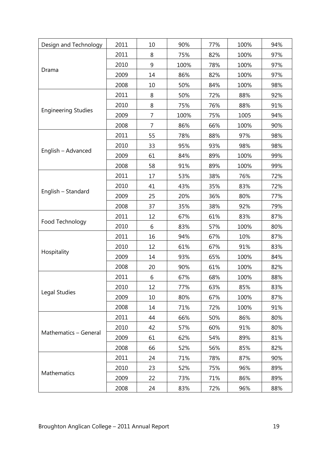| Design and Technology      | 2011 | 10 | 90%  | 77% | 100% | 94% |
|----------------------------|------|----|------|-----|------|-----|
|                            | 2011 | 8  | 75%  | 82% | 100% | 97% |
|                            | 2010 | 9  | 100% | 78% | 100% | 97% |
| Drama                      | 2009 | 14 | 86%  | 82% | 100% | 97% |
|                            | 2008 | 10 | 50%  | 84% | 100% | 98% |
|                            | 2011 | 8  | 50%  | 72% | 88%  | 92% |
|                            | 2010 | 8  | 75%  | 76% | 88%  | 91% |
| <b>Engineering Studies</b> | 2009 | 7  | 100% | 75% | 1005 | 94% |
|                            | 2008 | 7  | 86%  | 66% | 100% | 90% |
|                            | 2011 | 55 | 78%  | 88% | 97%  | 98% |
|                            | 2010 | 33 | 95%  | 93% | 98%  | 98% |
| English - Advanced         | 2009 | 61 | 84%  | 89% | 100% | 99% |
|                            | 2008 | 58 | 91%  | 89% | 100% | 99% |
|                            | 2011 | 17 | 53%  | 38% | 76%  | 72% |
|                            | 2010 | 41 | 43%  | 35% | 83%  | 72% |
| English - Standard         | 2009 | 25 | 20%  | 36% | 80%  | 77% |
|                            | 2008 | 37 | 35%  | 38% | 92%  | 79% |
|                            | 2011 | 12 | 67%  | 61% | 83%  | 87% |
| Food Technology            | 2010 | 6  | 83%  | 57% | 100% | 80% |
|                            | 2011 | 16 | 94%  | 67% | 10%  | 87% |
|                            | 2010 | 12 | 61%  | 67% | 91%  | 83% |
| Hospitality                | 2009 | 14 | 93%  | 65% | 100% | 84% |
|                            | 2008 | 20 | 90%  | 61% | 100% | 82% |
|                            | 2011 | 6  | 67%  | 68% | 100% | 88% |
|                            | 2010 | 12 | 77%  | 63% | 85%  | 83% |
| Legal Studies              | 2009 | 10 | 80%  | 67% | 100% | 87% |
|                            | 2008 | 14 | 71%  | 72% | 100% | 91% |
|                            | 2011 | 44 | 66%  | 50% | 86%  | 80% |
|                            | 2010 | 42 | 57%  | 60% | 91%  | 80% |
| Mathematics - General      | 2009 | 61 | 62%  | 54% | 89%  | 81% |
|                            | 2008 | 66 | 52%  | 56% | 85%  | 82% |
|                            | 2011 | 24 | 71%  | 78% | 87%  | 90% |
|                            | 2010 | 23 | 52%  | 75% | 96%  | 89% |
| Mathematics                | 2009 | 22 | 73%  | 71% | 86%  | 89% |
|                            | 2008 | 24 | 83%  | 72% | 96%  | 88% |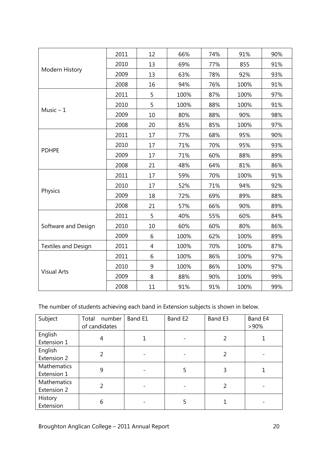|                            | 2011 | 12 | 66%  | 74% | 91%  | 90% |
|----------------------------|------|----|------|-----|------|-----|
| Modern History             | 2010 | 13 | 69%  | 77% | 855  | 91% |
|                            | 2009 | 13 | 63%  | 78% | 92%  | 93% |
|                            | 2008 | 16 | 94%  | 76% | 100% | 91% |
|                            | 2011 | 5  | 100% | 87% | 100% | 97% |
|                            | 2010 | 5  | 100% | 88% | 100% | 91% |
| Music $-1$                 | 2009 | 10 | 80%  | 88% | 90%  | 98% |
|                            | 2008 | 20 | 85%  | 85% | 100% | 97% |
|                            | 2011 | 17 | 77%  | 68% | 95%  | 90% |
|                            | 2010 | 17 | 71%  | 70% | 95%  | 93% |
| <b>PDHPE</b>               | 2009 | 17 | 71%  | 60% | 88%  | 89% |
|                            | 2008 | 21 | 48%  | 64% | 81%  | 86% |
|                            | 2011 | 17 | 59%  | 70% | 100% | 91% |
|                            | 2010 | 17 | 52%  | 71% | 94%  | 92% |
| Physics                    | 2009 | 18 | 72%  | 69% | 89%  | 88% |
|                            | 2008 | 21 | 57%  | 66% | 90%  | 89% |
|                            | 2011 | 5  | 40%  | 55% | 60%  | 84% |
| Software and Design        | 2010 | 10 | 60%  | 60% | 80%  | 86% |
|                            | 2009 | 6  | 100% | 62% | 100% | 89% |
| <b>Textiles and Design</b> | 2011 | 4  | 100% | 70% | 100% | 87% |
|                            | 2011 | 6  | 100% | 86% | 100% | 97% |
|                            | 2010 | 9  | 100% | 86% | 100% | 97% |
| <b>Visual Arts</b>         | 2009 | 8  | 88%  | 90% | 100% | 99% |
|                            | 2008 | 11 | 91%  | 91% | 100% | 99% |

#### The number of students achieving each band in Extension subjects is shown in below.

| Subject                           | number<br>Total<br>of candidates | Band E1 | Band E2 | Band E3 | Band E4<br>$>90\%$ |
|-----------------------------------|----------------------------------|---------|---------|---------|--------------------|
| English<br>Extension 1            | 4                                |         |         | 2       |                    |
| English<br>Extension 2            |                                  |         |         | 2       |                    |
| Mathematics<br>Extension 1        | 9                                |         | 5       | 3       |                    |
| <b>Mathematics</b><br>Extension 2 |                                  |         |         | 2       |                    |
| History<br>Extension              | 6                                |         |         |         |                    |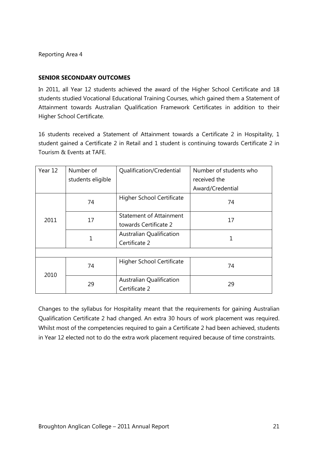#### **SENIOR SECONDARY OUTCOMES**

In 2011, all Year 12 students achieved the award of the Higher School Certificate and 18 students studied Vocational Educational Training Courses, which gained them a Statement of Attainment towards Australian Qualification Framework Certificates in addition to their Higher School Certificate.

16 students received a Statement of Attainment towards a Certificate 2 in Hospitality, 1 student gained a Certificate 2 in Retail and 1 student is continuing towards Certificate 2 in Tourism & Events at TAFE.

| Year 12 | Number of         | Qualification/Credential         | Number of students who |  |
|---------|-------------------|----------------------------------|------------------------|--|
|         | students eligible |                                  | received the           |  |
|         |                   |                                  | Award/Credential       |  |
|         | 74                | Higher School Certificate        | 74                     |  |
| 2011    | 17                | <b>Statement of Attainment</b>   | 17                     |  |
|         |                   | towards Certificate 2            |                        |  |
|         | 1                 | <b>Australian Qualification</b>  |                        |  |
|         |                   | Certificate 2                    |                        |  |
|         |                   |                                  |                        |  |
| 2010    | 74                | <b>Higher School Certificate</b> | 74                     |  |
|         | 29                | <b>Australian Qualification</b>  | 29                     |  |
|         |                   | Certificate 2                    |                        |  |

Changes to the syllabus for Hospitality meant that the requirements for gaining Australian Qualification Certificate 2 had changed. An extra 30 hours of work placement was required. Whilst most of the competencies required to gain a Certificate 2 had been achieved, students in Year 12 elected not to do the extra work placement required because of time constraints.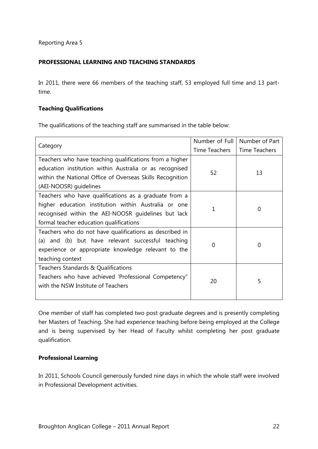#### **PROFESSIONAL LEARNING AND TEACHING STANDARDS**

In 2011, there were 66 members of the teaching staff, 53 employed full time and 13 parttime.

#### **Teaching Qualifications**

The qualifications of the teaching staff are summarised in the table below:

|                                                           | Number of Full | Number of Part       |  |
|-----------------------------------------------------------|----------------|----------------------|--|
| Category                                                  | Time Teachers  | <b>Time Teachers</b> |  |
| Teachers who have teaching qualifications from a higher   |                |                      |  |
| education institution within Australia or as recognised   | 52             | 13                   |  |
| within the National Office of Overseas Skills Recognition |                |                      |  |
| (AEI-NOOSR) guidelines                                    |                |                      |  |
| Teachers who have qualifications as a graduate from a     |                |                      |  |
| higher education institution within Australia or one      | 1              | 0                    |  |
| recognised within the AEI-NOOSR guidelines but lack       |                |                      |  |
| formal teacher education qualifications                   |                |                      |  |
| Teachers who do not have qualifications as described in   |                |                      |  |
| (a) and (b) but have relevant successful teaching         | 0              | 0                    |  |
| experience or appropriate knowledge relevant to the       |                |                      |  |
| teaching context                                          |                |                      |  |
| Teachers Standards & Qualifications                       |                |                      |  |
| Teachers who have achieved 'Professional Competency"      | 20             | 5                    |  |
| with the NSW Institute of Teachers                        |                |                      |  |
|                                                           |                |                      |  |

One member of staff has completed two post graduate degrees and is presently completing her Masters of Teaching. She had experience teaching before being employed at the College and is being supervised by her Head of Faculty whilst completing her post graduate qualification.

#### **Professional Learning**

In 2011, Schools Council generously funded nine days in which the whole staff were involved in Professional Development activities.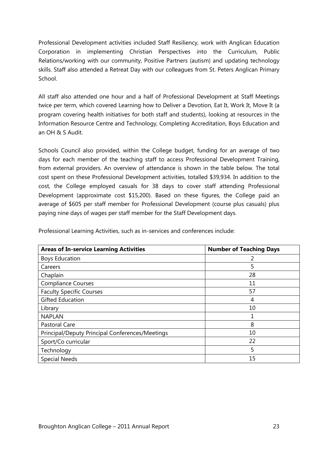Professional Development activities included Staff Resiliency, work with Anglican Education Corporation in implementing Christian Perspectives into the Curriculum, Public Relations/working with our community, Positive Partners (autism) and updating technology skills. Staff also attended a Retreat Day with our colleagues from St. Peters Anglican Primary School.

All staff also attended one hour and a half of Professional Development at Staff Meetings twice per term, which covered Learning how to Deliver a Devotion, Eat It, Work It, Move It (a program covering health initiatives for both staff and students), looking at resources in the Information Resource Centre and Technology, Completing Accreditation, Boys Education and an OH & S Audit.

Schools Council also provided, within the College budget, funding for an average of two days for each member of the teaching staff to access Professional Development Training, from external providers. An overview of attendance is shown in the table below. The total cost spent on these Professional Development activities, totalled \$39,934. In addition to the cost, the College employed casuals for 38 days to cover staff attending Professional Development (approximate cost \$15,200). Based on these figures, the College paid an average of \$605 per staff member for Professional Development (course plus casuals) plus paying nine days of wages per staff member for the Staff Development days.

| <b>Areas of In-service Learning Activities</b>  | <b>Number of Teaching Days</b> |
|-------------------------------------------------|--------------------------------|
| <b>Boys Education</b>                           |                                |
| Careers                                         | 5                              |
| Chaplain                                        | 28                             |
| <b>Compliance Courses</b>                       | 11                             |
| <b>Faculty Specific Courses</b>                 | 57                             |
| <b>Gifted Education</b>                         | 4                              |
| Library                                         | 10                             |
| <b>NAPLAN</b>                                   |                                |
| Pastoral Care                                   | 8                              |
| Principal/Deputy Principal Conferences/Meetings | 10                             |
| Sport/Co curricular                             | 22                             |
| Technology                                      | 5                              |
| <b>Special Needs</b>                            | 15                             |

Professional Learning Activities, such as in-services and conferences include: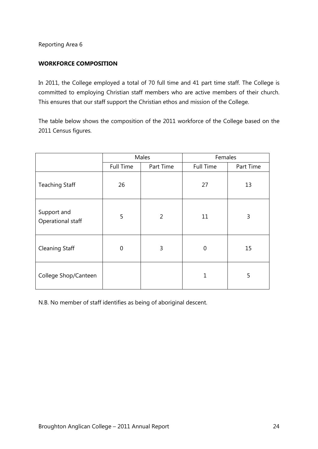#### **WORKFORCE COMPOSITION**

In 2011, the College employed a total of 70 full time and 41 part time staff. The College is committed to employing Christian staff members who are active members of their church. This ensures that our staff support the Christian ethos and mission of the College.

The table below shows the composition of the 2011 workforce of the College based on the 2011 Census figures.

|                                  |                  | Males          | Females          |           |  |
|----------------------------------|------------------|----------------|------------------|-----------|--|
|                                  | <b>Full Time</b> | Part Time      | <b>Full Time</b> | Part Time |  |
| <b>Teaching Staff</b>            | 26               |                | 27               | 13        |  |
| Support and<br>Operational staff | 5                | $\overline{2}$ | 11               | 3         |  |
| <b>Cleaning Staff</b>            | $\overline{0}$   | 3              | 0                | 15        |  |
| College Shop/Canteen             |                  |                | 1                | 5         |  |

N.B. No member of staff identifies as being of aboriginal descent.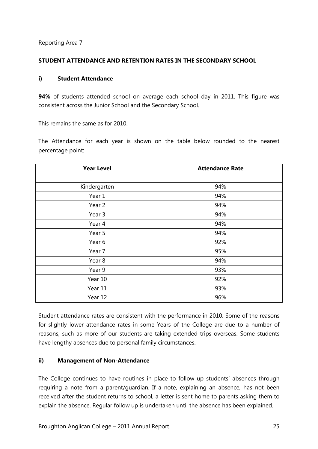#### **STUDENT ATTENDANCE AND RETENTION RATES IN THE SECONDARY SCHOOL**

#### **i) Student Attendance**

**94%** of students attended school on average each school day in 2011. This figure was consistent across the Junior School and the Secondary School.

This remains the same as for 2010.

The Attendance for each year is shown on the table below rounded to the nearest percentage point:

| <b>Year Level</b> | <b>Attendance Rate</b> |
|-------------------|------------------------|
| Kindergarten      | 94%                    |
| Year 1            | 94%                    |
| Year 2            | 94%                    |
| Year 3            | 94%                    |
| Year 4            | 94%                    |
| Year 5            | 94%                    |
| Year 6            | 92%                    |
| Year 7            | 95%                    |
| Year 8            | 94%                    |
| Year 9            | 93%                    |
| Year 10           | 92%                    |
| Year 11           | 93%                    |
| Year 12           | 96%                    |

Student attendance rates are consistent with the performance in 2010. Some of the reasons for slightly lower attendance rates in some Years of the College are due to a number of reasons, such as more of our students are taking extended trips overseas. Some students have lengthy absences due to personal family circumstances.

#### **ii) Management of Non-Attendance**

The College continues to have routines in place to follow up students' absences through requiring a note from a parent/guardian. If a note, explaining an absence, has not been received after the student returns to school, a letter is sent home to parents asking them to explain the absence. Regular follow up is undertaken until the absence has been explained.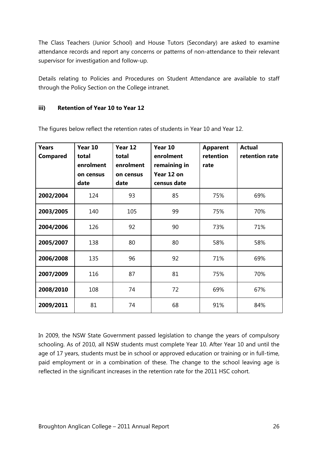The Class Teachers (Junior School) and House Tutors (Secondary) are asked to examine attendance records and report any concerns or patterns of non-attendance to their relevant supervisor for investigation and follow-up.

Details relating to Policies and Procedures on Student Attendance are available to staff through the Policy Section on the College intranet.

#### **iii) Retention of Year 10 to Year 12**

| <b>Years</b><br><b>Compared</b> | Year 10<br>total<br>enrolment<br>on census<br>date | Year 12<br>total<br>enrolment<br>on census<br>date | Year 10<br>enrolment<br>remaining in<br>Year 12 on<br>census date | <b>Apparent</b><br>retention<br>rate | <b>Actual</b><br>retention rate |
|---------------------------------|----------------------------------------------------|----------------------------------------------------|-------------------------------------------------------------------|--------------------------------------|---------------------------------|
| 2002/2004                       | 124                                                | 93                                                 | 85                                                                | 75%                                  | 69%                             |
| 2003/2005                       | 140                                                | 105                                                | 99                                                                | 75%                                  | 70%                             |
| 2004/2006                       | 126                                                | 92                                                 | 90                                                                | 73%                                  | 71%                             |
| 2005/2007                       | 138                                                | 80                                                 | 80                                                                | 58%                                  | 58%                             |
| 2006/2008                       | 135                                                | 96                                                 | 92                                                                | 71%                                  | 69%                             |
| 2007/2009                       | 116                                                | 87                                                 | 81                                                                | 75%                                  | 70%                             |
| 2008/2010                       | 108                                                | 74                                                 | 72                                                                | 69%                                  | 67%                             |
| 2009/2011                       | 81                                                 | 74                                                 | 68                                                                | 91%                                  | 84%                             |

The figures below reflect the retention rates of students in Year 10 and Year 12.

In 2009, the NSW State Government passed legislation to change the years of compulsory schooling. As of 2010, all NSW students must complete Year 10. After Year 10 and until the age of 17 years, students must be in school or approved education or training or in full-time, paid employment or in a combination of these. The change to the school leaving age is reflected in the significant increases in the retention rate for the 2011 HSC cohort.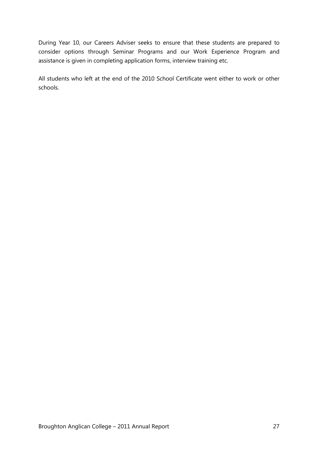During Year 10, our Careers Adviser seeks to ensure that these students are prepared to consider options through Seminar Programs and our Work Experience Program and assistance is given in completing application forms, interview training etc.

All students who left at the end of the 2010 School Certificate went either to work or other schools.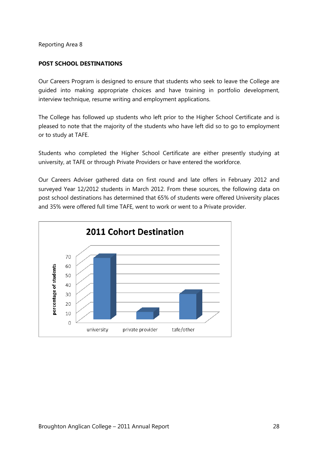#### **POST SCHOOL DESTINATIONS**

Our Careers Program is designed to ensure that students who seek to leave the College are guided into making appropriate choices and have training in portfolio development, interview technique, resume writing and employment applications.

The College has followed up students who left prior to the Higher School Certificate and is pleased to note that the majority of the students who have left did so to go to employment or to study at TAFE.

Students who completed the Higher School Certificate are either presently studying at university, at TAFE or through Private Providers or have entered the workforce.

Our Careers Adviser gathered data on first round and late offers in February 2012 and surveyed Year 12/2012 students in March 2012. From these sources, the following data on post school destinations has determined that 65% of students were offered University places and 35% were offered full time TAFE, went to work or went to a Private provider.

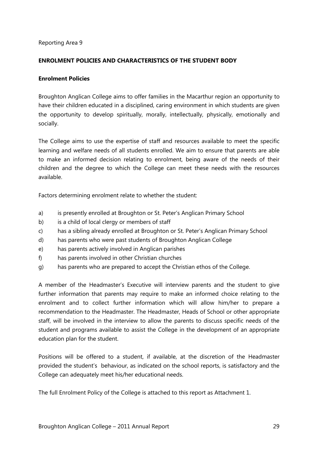#### **ENROLMENT POLICIES AND CHARACTERISTICS OF THE STUDENT BODY**

#### **Enrolment Policies**

Broughton Anglican College aims to offer families in the Macarthur region an opportunity to have their children educated in a disciplined, caring environment in which students are given the opportunity to develop spiritually, morally, intellectually, physically, emotionally and socially.

The College aims to use the expertise of staff and resources available to meet the specific learning and welfare needs of all students enrolled. We aim to ensure that parents are able to make an informed decision relating to enrolment, being aware of the needs of their children and the degree to which the College can meet these needs with the resources available.

Factors determining enrolment relate to whether the student:

- a) is presently enrolled at Broughton or St. Peter's Anglican Primary School
- b) is a child of local clergy or members of staff
- c) has a sibling already enrolled at Broughton or St. Peter's Anglican Primary School
- d) has parents who were past students of Broughton Anglican College
- e) has parents actively involved in Anglican parishes
- f) has parents involved in other Christian churches
- g) has parents who are prepared to accept the Christian ethos of the College.

A member of the Headmaster's Executive will interview parents and the student to give further information that parents may require to make an informed choice relating to the enrolment and to collect further information which will allow him/her to prepare a recommendation to the Headmaster. The Headmaster, Heads of School or other appropriate staff, will be involved in the interview to allow the parents to discuss specific needs of the student and programs available to assist the College in the development of an appropriate education plan for the student.

Positions will be offered to a student, if available, at the discretion of the Headmaster provided the student's behaviour, as indicated on the school reports, is satisfactory and the College can adequately meet his/her educational needs.

The full Enrolment Policy of the College is attached to this report as Attachment 1.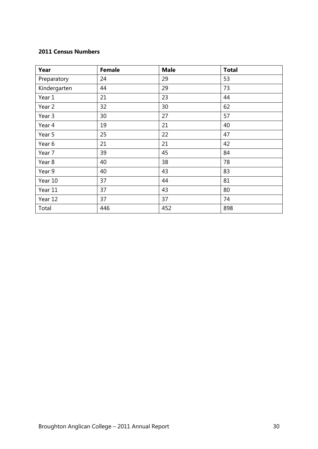#### **2011 Census Numbers**

| Year         | <b>Female</b> | <b>Male</b> | <b>Total</b> |
|--------------|---------------|-------------|--------------|
| Preparatory  | 24            | 29          | 53           |
| Kindergarten | 44            | 29          | 73           |
| Year 1       | 21            | 23          | 44           |
| Year 2       | 32            | 30          | 62           |
| Year 3       | 30            | 27          | 57           |
| Year 4       | 19            | 21          | 40           |
| Year 5       | 25            | 22          | 47           |
| Year 6       | 21            | 21          | 42           |
| Year 7       | 39            | 45          | 84           |
| Year 8       | 40            | 38          | 78           |
| Year 9       | 40            | 43          | 83           |
| Year 10      | 37            | 44          | 81           |
| Year 11      | 37            | 43          | 80           |
| Year 12      | 37            | 37          | 74           |
| Total        | 446           | 452         | 898          |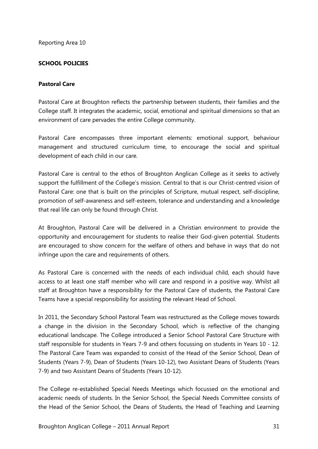#### **SCHOOL POLICIES**

#### **Pastoral Care**

Pastoral Care at Broughton reflects the partnership between students, their families and the College staff. It integrates the academic, social, emotional and spiritual dimensions so that an environment of care pervades the entire College community.

Pastoral Care encompasses three important elements: emotional support, behaviour management and structured curriculum time, to encourage the social and spiritual development of each child in our care.

Pastoral Care is central to the ethos of Broughton Anglican College as it seeks to actively support the fulfillment of the College's mission. Central to that is our Christ-centred vision of Pastoral Care: one that is built on the principles of Scripture, mutual respect, self-discipline, promotion of self-awareness and self-esteem, tolerance and understanding and a knowledge that real life can only be found through Christ.

At Broughton, Pastoral Care will be delivered in a Christian environment to provide the opportunity and encouragement for students to realise their God-given potential. Students are encouraged to show concern for the welfare of others and behave in ways that do not infringe upon the care and requirements of others.

As Pastoral Care is concerned with the needs of each individual child, each should have access to at least one staff member who will care and respond in a positive way. Whilst all staff at Broughton have a responsibility for the Pastoral Care of students, the Pastoral Care Teams have a special responsibility for assisting the relevant Head of School.

In 2011, the Secondary School Pastoral Team was restructured as the College moves towards a change in the division in the Secondary School, which is reflective of the changing educational landscape. The College introduced a Senior School Pastoral Care Structure with staff responsible for students in Years 7-9 and others focussing on students in Years 10 - 12. The Pastoral Care Team was expanded to consist of the Head of the Senior School, Dean of Students (Years 7-9), Dean of Students (Years 10-12), two Assistant Deans of Students (Years 7-9) and two Assistant Deans of Students (Years 10-12).

The College re-established Special Needs Meetings which focussed on the emotional and academic needs of students. In the Senior School, the Special Needs Committee consists of the Head of the Senior School, the Deans of Students, the Head of Teaching and Learning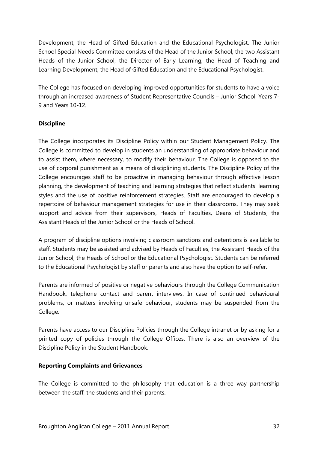Development, the Head of Gifted Education and the Educational Psychologist. The Junior School Special Needs Committee consists of the Head of the Junior School, the two Assistant Heads of the Junior School, the Director of Early Learning, the Head of Teaching and Learning Development, the Head of Gifted Education and the Educational Psychologist.

The College has focused on developing improved opportunities for students to have a voice through an increased awareness of Student Representative Councils – Junior School, Years 7- 9 and Years 10-12.

#### **Discipline**

The College incorporates its Discipline Policy within our Student Management Policy. The College is committed to develop in students an understanding of appropriate behaviour and to assist them, where necessary, to modify their behaviour. The College is opposed to the use of corporal punishment as a means of disciplining students. The Discipline Policy of the College encourages staff to be proactive in managing behaviour through effective lesson planning, the development of teaching and learning strategies that reflect students' learning styles and the use of positive reinforcement strategies. Staff are encouraged to develop a repertoire of behaviour management strategies for use in their classrooms. They may seek support and advice from their supervisors, Heads of Faculties, Deans of Students, the Assistant Heads of the Junior School or the Heads of School.

A program of discipline options involving classroom sanctions and detentions is available to staff. Students may be assisted and advised by Heads of Faculties, the Assistant Heads of the Junior School, the Heads of School or the Educational Psychologist. Students can be referred to the Educational Psychologist by staff or parents and also have the option to self-refer.

Parents are informed of positive or negative behaviours through the College Communication Handbook, telephone contact and parent interviews. In case of continued behavioural problems, or matters involving unsafe behaviour, students may be suspended from the College.

Parents have access to our Discipline Policies through the College intranet or by asking for a printed copy of policies through the College Offices. There is also an overview of the Discipline Policy in the Student Handbook.

#### **Reporting Complaints and Grievances**

The College is committed to the philosophy that education is a three way partnership between the staff, the students and their parents.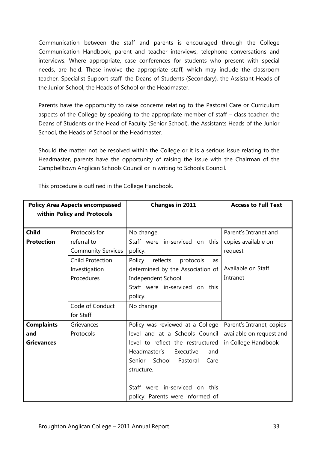Communication between the staff and parents is encouraged through the College Communication Handbook, parent and teacher interviews, telephone conversations and interviews. Where appropriate, case conferences for students who present with special needs, are held. These involve the appropriate staff, which may include the classroom teacher, Specialist Support staff, the Deans of Students (Secondary), the Assistant Heads of the Junior School, the Heads of School or the Headmaster.

Parents have the opportunity to raise concerns relating to the Pastoral Care or Curriculum aspects of the College by speaking to the appropriate member of staff – class teacher, the Deans of Students or the Head of Faculty (Senior School), the Assistants Heads of the Junior School, the Heads of School or the Headmaster.

Should the matter not be resolved within the College or it is a serious issue relating to the Headmaster, parents have the opportunity of raising the issue with the Chairman of the Campbelltown Anglican Schools Council or in writing to Schools Council.

| <b>Policy Area Aspects encompassed</b> |                           | <b>Changes in 2011</b>                | <b>Access to Full Text</b> |
|----------------------------------------|---------------------------|---------------------------------------|----------------------------|
| within Policy and Protocols            |                           |                                       |                            |
|                                        |                           |                                       |                            |
| <b>Child</b>                           | Protocols for             | No change.                            | Parent's Intranet and      |
| <b>Protection</b>                      | referral to               | Staff were in-serviced on this        | copies available on        |
|                                        | <b>Community Services</b> | policy.                               | request                    |
|                                        | <b>Child Protection</b>   | reflects<br>Policy<br>protocols<br>as |                            |
|                                        | Investigation             | determined by the Association of      | Available on Staff         |
|                                        | Procedures                | Independent School.                   | Intranet                   |
|                                        |                           | Staff were in-serviced on this        |                            |
|                                        |                           | policy.                               |                            |
|                                        | Code of Conduct           | No change                             |                            |
|                                        | for Staff                 |                                       |                            |
| <b>Complaints</b>                      | Grievances                | Policy was reviewed at a College      | Parent's Intranet, copies  |
| and                                    | Protocols                 | level and at a Schools Council        | available on request and   |
| <b>Grievances</b>                      |                           | level to reflect the restructured     | in College Handbook        |
|                                        |                           | Headmaster's<br>Executive<br>and      |                            |
|                                        |                           | Senior School Pastoral<br>Care        |                            |
|                                        |                           | structure.                            |                            |
|                                        |                           |                                       |                            |
|                                        |                           | were in-serviced on this<br>Staff     |                            |
|                                        |                           | policy. Parents were informed of      |                            |

This procedure is outlined in the College Handbook.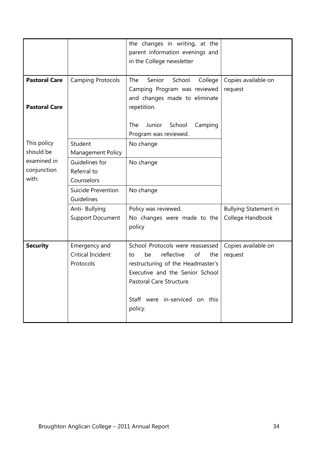|                                              |                                                        | the changes in writing, at the<br>parent information evenings and<br>in the College newsletter                                                                                                                           |                                                  |
|----------------------------------------------|--------------------------------------------------------|--------------------------------------------------------------------------------------------------------------------------------------------------------------------------------------------------------------------------|--------------------------------------------------|
| <b>Pastoral Care</b><br><b>Pastoral Care</b> | <b>Camping Protocols</b>                               | The<br>Senior<br>School<br>College<br>Camping Program was reviewed<br>and changes made to eliminate<br>repetition.                                                                                                       | Copies available on<br>request                   |
|                                              |                                                        | Junior<br>School<br>The<br>Camping<br>Program was reviewed.                                                                                                                                                              |                                                  |
| This policy<br>should be                     | Student<br><b>Management Policy</b>                    | No change                                                                                                                                                                                                                |                                                  |
| examined in<br>conjunction<br>with:          | Guidelines for<br>Referral to<br>Counselors            | No change                                                                                                                                                                                                                |                                                  |
|                                              | Suicide Prevention<br>Guidelines                       | No change                                                                                                                                                                                                                |                                                  |
|                                              | Anti- Bullying<br><b>Support Document</b>              | Policy was reviewed.<br>No changes were made to the<br>policy                                                                                                                                                            | <b>Bullying Statement in</b><br>College Handbook |
| <b>Security</b>                              | Emergency and<br><b>Critical Incident</b><br>Protocols | School Protocols were reassessed<br>reflective<br>of<br>be<br>the<br>to<br>restructuring of the Headmaster's<br>Executive and the Senior School<br>Pastoral Care Structure.<br>Staff were in-serviced on this<br>policy. | Copies available on<br>request                   |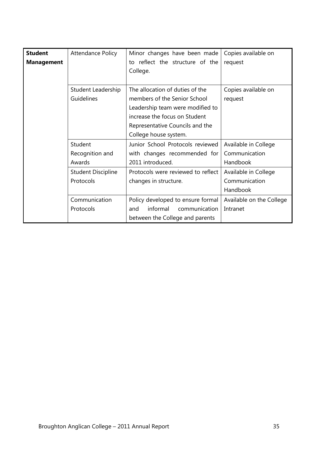| <b>Student</b>    | Attendance Policy         | Minor changes have been made       | Copies available on      |
|-------------------|---------------------------|------------------------------------|--------------------------|
| <b>Management</b> |                           | to reflect the structure of the    | request                  |
|                   |                           | College.                           |                          |
|                   |                           |                                    |                          |
|                   | Student Leadership        | The allocation of duties of the    | Copies available on      |
|                   | Guidelines                | members of the Senior School       | request                  |
|                   |                           | Leadership team were modified to   |                          |
|                   |                           | increase the focus on Student      |                          |
|                   |                           | Representative Councils and the    |                          |
|                   |                           | College house system.              |                          |
|                   | Student                   | Junior School Protocols reviewed   | Available in College     |
|                   | Recognition and           | with changes recommended for       | Communication            |
|                   | Awards                    | 2011 introduced.                   | Handbook                 |
|                   | <b>Student Discipline</b> | Protocols were reviewed to reflect | Available in College     |
|                   | Protocols                 | changes in structure.              | Communication            |
|                   |                           |                                    | Handbook                 |
|                   | Communication             | Policy developed to ensure formal  | Available on the College |
|                   | Protocols                 | informal<br>communication<br>and   | Intranet                 |
|                   |                           | between the College and parents    |                          |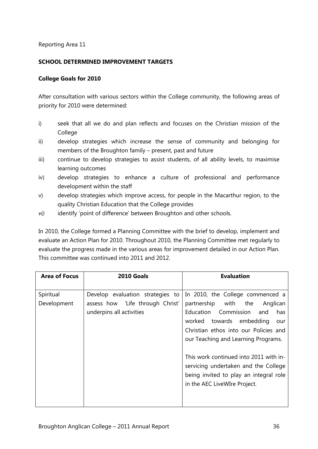#### **SCHOOL DETERMINED IMPROVEMENT TARGETS**

#### **College Goals for 2010**

After consultation with various sectors within the College community, the following areas of priority for 2010 were determined:

- i) seek that all we do and plan reflects and focuses on the Christian mission of the College
- ii) develop strategies which increase the sense of community and belonging for members of the Broughton family – present, past and future
- iii) continue to develop strategies to assist students, of all ability levels, to maximise learning outcomes
- iv) develop strategies to enhance a culture of professional and performance development within the staff
- v) develop strategies which improve access, for people in the Macarthur region, to the quality Christian Education that the College provides
- *vi)* identify 'point of difference' between Broughton and other schools*.*

In 2010, the College formed a Planning Committee with the brief to develop, implement and evaluate an Action Plan for 2010. Throughout 2010, the Planning Committee met regularly to evaluate the progress made in the various areas for improvement detailed in our Action Plan. This committee was continued into 2011 and 2012.

| <b>Area of Focus</b> | 2010 Goals                       | <b>Evaluation</b>                      |
|----------------------|----------------------------------|----------------------------------------|
|                      |                                  |                                        |
| Spiritual            | Develop evaluation strategies to | In 2010, the College commenced a       |
| Development          | assess how 'Life through Christ' | partnership with the<br>Anglican       |
|                      | underpins all activities         | Education Commission<br>and<br>has     |
|                      |                                  | worked towards embedding<br>our        |
|                      |                                  | Christian ethos into our Policies and  |
|                      |                                  | our Teaching and Learning Programs.    |
|                      |                                  |                                        |
|                      |                                  | This work continued into 2011 with in- |
|                      |                                  | servicing undertaken and the College   |
|                      |                                  | being invited to play an integral role |
|                      |                                  | in the AEC LiveWIre Project.           |
|                      |                                  |                                        |
|                      |                                  |                                        |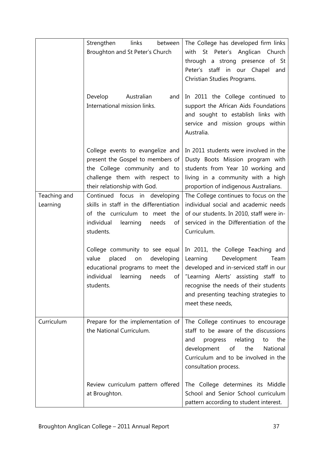|                          | links<br>between<br>Strengthen<br>Broughton and St Peter's Church                                                                                                      | The College has developed firm links<br>with St Peter's Anglican Church<br>through a strong presence of St<br>Peter's staff in our Chapel and<br>Christian Studies Programs.                                                                                                               |
|--------------------------|------------------------------------------------------------------------------------------------------------------------------------------------------------------------|--------------------------------------------------------------------------------------------------------------------------------------------------------------------------------------------------------------------------------------------------------------------------------------------|
|                          | Australian<br>Develop<br>and<br>International mission links.                                                                                                           | In 2011 the College continued to<br>support the African Aids Foundations<br>and sought to establish links with<br>service and mission groups within<br>Australia.                                                                                                                          |
|                          | College events to evangelize and<br>present the Gospel to members of<br>the College community and to<br>challenge them with respect to<br>their relationship with God. | In 2011 students were involved in the<br>Dusty Boots Mission program with<br>students from Year 10 working and<br>living in a community with a high<br>proportion of indigenous Australians.                                                                                               |
| Teaching and<br>Learning | Continued focus in developing<br>skills in staff in the differentiation<br>of the curriculum to meet the<br>individual<br>learning<br>needs<br>of<br>students.         | The College continues to focus on the<br>individual social and academic needs<br>of our students. In 2010, staff were in-<br>serviced in the Differentiation of the<br>Curriculum.                                                                                                         |
|                          | College community to see equal<br>placed<br>developing<br>value<br>on<br>educational programs to meet the<br>students.                                                 | In 2011, the College Teaching and<br>Learning<br>Development<br>Team<br>developed and in-serviced staff in our<br>individual learning needs of "Learning Alerts' assisting staff to<br>recognise the needs of their students<br>and presenting teaching strategies to<br>meet these needs, |
| Curriculum               | Prepare for the implementation of<br>the National Curriculum.                                                                                                          | The College continues to encourage<br>staff to be aware of the discussions<br>the<br>relating<br>and<br>progress<br>to<br>the<br>National<br>development<br>of<br>Curriculum and to be involved in the<br>consultation process.                                                            |
|                          | Review curriculum pattern offered<br>at Broughton.                                                                                                                     | The College determines its Middle<br>School and Senior School curriculum<br>pattern according to student interest.                                                                                                                                                                         |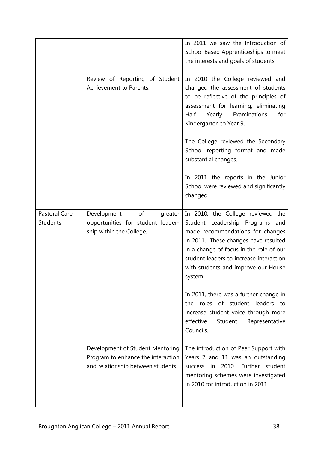|                                  |                                                                                                              | In 2011 we saw the Introduction of<br>School Based Apprenticeships to meet<br>the interests and goals of students.                                                                                                                                                                       |
|----------------------------------|--------------------------------------------------------------------------------------------------------------|------------------------------------------------------------------------------------------------------------------------------------------------------------------------------------------------------------------------------------------------------------------------------------------|
|                                  | Review of Reporting of Student<br>Achievement to Parents.                                                    | In 2010 the College reviewed and<br>changed the assessment of students<br>to be reflective of the principles of<br>assessment for learning, eliminating<br>Examinations<br>Half<br>Yearly<br>for<br>Kindergarten to Year 9.                                                              |
|                                  |                                                                                                              | The College reviewed the Secondary<br>School reporting format and made<br>substantial changes.                                                                                                                                                                                           |
|                                  |                                                                                                              | In 2011 the reports in the Junior<br>School were reviewed and significantly<br>changed.                                                                                                                                                                                                  |
| Pastoral Care<br><b>Students</b> | of<br>Development<br>greater<br>opportunities for student leader-<br>ship within the College.                | In 2010, the College reviewed the<br>Student Leadership Programs and<br>made recommendations for changes<br>in 2011. These changes have resulted<br>in a change of focus in the role of our<br>student leaders to increase interaction<br>with students and improve our House<br>system. |
|                                  |                                                                                                              | In 2011, there was a further change in<br>the roles of student leaders to<br>increase student voice through more<br>effective<br>Student<br>Representative<br>Councils.                                                                                                                  |
|                                  | Development of Student Mentoring<br>Program to enhance the interaction<br>and relationship between students. | The introduction of Peer Support with<br>Years 7 and 11 was an outstanding<br>in 2010. Further student<br><b>SUCCESS</b><br>mentoring schemes were investigated<br>in 2010 for introduction in 2011.                                                                                     |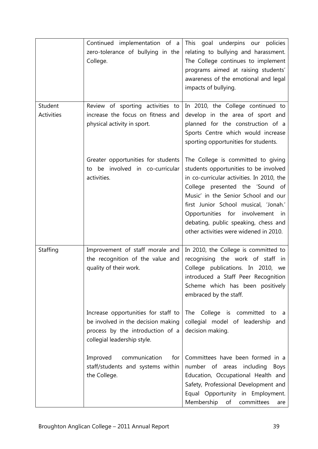| Student    | Continued implementation of a<br>zero-tolerance of bullying in the<br>College.<br>Review of sporting activities to                           | This goal underpins our policies<br>relating to bullying and harassment.<br>The College continues to implement<br>programs aimed at raising students'<br>awareness of the emotional and legal<br>impacts of bullying.<br>In 2010, the College continued to                                                                                                        |
|------------|----------------------------------------------------------------------------------------------------------------------------------------------|-------------------------------------------------------------------------------------------------------------------------------------------------------------------------------------------------------------------------------------------------------------------------------------------------------------------------------------------------------------------|
| Activities | increase the focus on fitness and<br>physical activity in sport.                                                                             | develop in the area of sport and<br>planned for the construction of a<br>Sports Centre which would increase<br>sporting opportunities for students.                                                                                                                                                                                                               |
|            | Greater opportunities for students<br>to be involved in co-curricular<br>activities.                                                         | The College is committed to giving<br>students opportunities to be involved<br>in co-curricular activities. In 2010, the<br>College presented the 'Sound of<br>Music' in the Senior School and our<br>first Junior School musical, 'Jonah.'<br>Opportunities for involvement in<br>debating, public speaking, chess and<br>other activities were widened in 2010. |
| Staffing   | Improvement of staff morale and<br>the recognition of the value and<br>quality of their work.                                                | In 2010, the College is committed to<br>recognising the work of staff in<br>College publications. In 2010, we<br>introduced a Staff Peer Recognition<br>Scheme which has been positively<br>embraced by the staff.                                                                                                                                                |
|            | Increase opportunities for staff to<br>be involved in the decision making<br>process by the introduction of a<br>collegial leadership style. | The College is committed<br>to a<br>collegial model of leadership and<br>decision making.                                                                                                                                                                                                                                                                         |
|            | Improved<br>communication<br>for<br>staff/students and systems within<br>the College.                                                        | Committees have been formed in a<br>number of areas including<br><b>Boys</b><br>Education, Occupational Health and<br>Safety, Professional Development and<br>Equal Opportunity in Employment.<br>committees<br>Membership<br>of<br>are                                                                                                                           |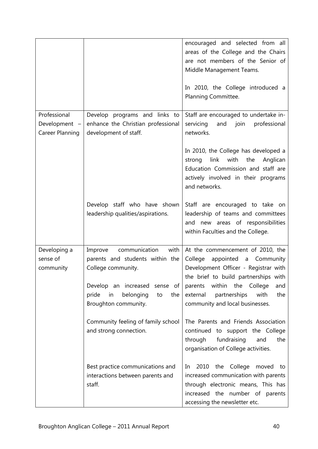|                                         |                                                                                                | encouraged and selected from all<br>areas of the College and the Chairs<br>are not members of the Senior of<br>Middle Management Teams.<br>In 2010, the College introduced a<br>Planning Committee. |
|-----------------------------------------|------------------------------------------------------------------------------------------------|-----------------------------------------------------------------------------------------------------------------------------------------------------------------------------------------------------|
| Professional                            | Develop programs and links to                                                                  | Staff are encouraged to undertake in-                                                                                                                                                               |
| Development -<br><b>Career Planning</b> | enhance the Christian professional<br>development of staff.                                    | servicing<br>and join<br>professional<br>networks.                                                                                                                                                  |
|                                         |                                                                                                | In 2010, the College has developed a<br>link<br>with<br>the<br>Anglican<br>strong<br>Education Commission and staff are<br>actively involved in their programs<br>and networks.                     |
|                                         | Develop staff who have shown<br>leadership qualities/aspirations.                              | Staff are encouraged to take on<br>leadership of teams and committees<br>new areas of responsibilities<br>and<br>within Faculties and the College.                                                  |
| Developing a                            | communication<br>with<br>Improve                                                               | At the commencement of 2010, the                                                                                                                                                                    |
| sense of                                | parents and students within the                                                                | College<br>appointed<br>Community<br>a                                                                                                                                                              |
| community                               | College community.                                                                             | Development Officer - Registrar with                                                                                                                                                                |
|                                         | Develop an increased sense of<br>pride<br>belonging<br>in<br>the<br>to<br>Broughton community. | the brief to build partnerships with<br>within the College<br>parents<br>and<br>external<br>partnerships<br>with<br>the<br>community and local businesses.                                          |
|                                         | Community feeling of family school<br>and strong connection.                                   | The Parents and Friends Association<br>continued to support the College<br>through<br>fundraising<br>the<br>and<br>organisation of College activities.                                              |
|                                         | Best practice communications and<br>interactions between parents and<br>staff.                 | 2010 the College moved to<br>In<br>increased communication with parents<br>through electronic means, This has<br>increased the number of parents<br>accessing the newsletter etc.                   |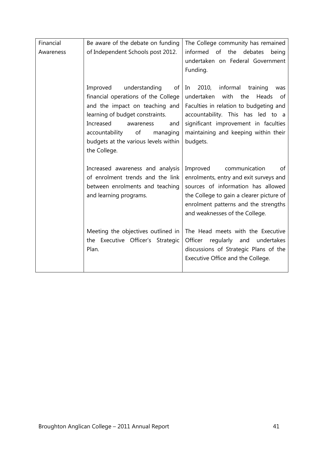| Financial | Be aware of the debate on funding                                                                                                                                                                                                                                        | The College community has remained                                                                                                                                                                                                                                |
|-----------|--------------------------------------------------------------------------------------------------------------------------------------------------------------------------------------------------------------------------------------------------------------------------|-------------------------------------------------------------------------------------------------------------------------------------------------------------------------------------------------------------------------------------------------------------------|
| Awareness | of Independent Schools post 2012.                                                                                                                                                                                                                                        | the<br>informed of<br>debates<br>being<br>undertaken on Federal Government<br>Funding.                                                                                                                                                                            |
|           | understanding<br>Improved<br>οf<br>financial operations of the College<br>and the impact on teaching and<br>learning of budget constraints.<br>Increased<br>awareness<br>and<br>accountability<br>of<br>managing<br>budgets at the various levels within<br>the College. | 2010,<br>informal<br>training<br>In<br>was<br>with<br>the<br>undertaken<br>Heads<br>0f<br>Faculties in relation to budgeting and<br>accountability. This has led to a<br>significant improvement in faculties<br>maintaining and keeping within their<br>budgets. |
|           | Increased awareness and analysis<br>of enrolment trends and the link<br>between enrolments and teaching<br>and learning programs.                                                                                                                                        | communication<br>Improved<br>οf<br>enrolments, entry and exit surveys and<br>sources of information has allowed<br>the College to gain a clearer picture of<br>enrolment patterns and the strengths<br>and weaknesses of the College.                             |
|           | Meeting the objectives outlined in<br>the Executive Officer's Strategic<br>Plan.                                                                                                                                                                                         | The Head meets with the Executive<br>Officer<br>regularly and<br>undertakes<br>discussions of Strategic Plans of the<br>Executive Office and the College.                                                                                                         |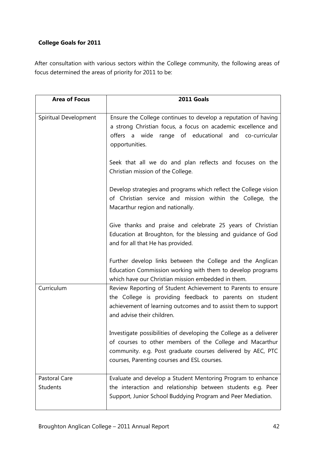#### **College Goals for 2011**

After consultation with various sectors within the College community, the following areas of focus determined the areas of priority for 2011 to be:

| <b>Area of Focus</b>                    | 2011 Goals                                                                                                                                                                                                                                   |
|-----------------------------------------|----------------------------------------------------------------------------------------------------------------------------------------------------------------------------------------------------------------------------------------------|
| Spiritual Development                   | Ensure the College continues to develop a reputation of having<br>a strong Christian focus, a focus on academic excellence and<br>offers a wide range of educational and co-curricular<br>opportunities.                                     |
|                                         | Seek that all we do and plan reflects and focuses on the<br>Christian mission of the College.                                                                                                                                                |
|                                         | Develop strategies and programs which reflect the College vision<br>of Christian service and mission within the College, the<br>Macarthur region and nationally.                                                                             |
|                                         | Give thanks and praise and celebrate 25 years of Christian<br>Education at Broughton, for the blessing and guidance of God<br>and for all that He has provided.                                                                              |
|                                         | Further develop links between the College and the Anglican<br>Education Commission working with them to develop programs<br>which have our Christian mission embedded in them.                                                               |
| Curriculum                              | Review Reporting of Student Achievement to Parents to ensure<br>the College is providing feedback to parents on student<br>achievement of learning outcomes and to assist them to support<br>and advise their children.                      |
|                                         | Investigate possibilities of developing the College as a deliverer<br>of courses to other members of the College and Macarthur<br>community. e.g. Post graduate courses delivered by AEC, PTC<br>courses, Parenting courses and ESL courses. |
| <b>Pastoral Care</b><br><b>Students</b> | Evaluate and develop a Student Mentoring Program to enhance<br>the interaction and relationship between students e.g. Peer<br>Support, Junior School Buddying Program and Peer Mediation.                                                    |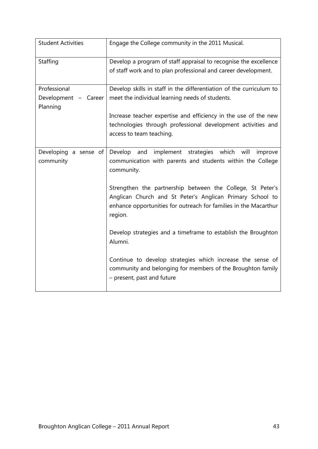| <b>Student Activities</b>                        | Engage the College community in the 2011 Musical.                                                                                                                                                      |
|--------------------------------------------------|--------------------------------------------------------------------------------------------------------------------------------------------------------------------------------------------------------|
| Staffing                                         | Develop a program of staff appraisal to recognise the excellence<br>of staff work and to plan professional and career development.                                                                     |
| Professional<br>Development - Career<br>Planning | Develop skills in staff in the differentiation of the curriculum to<br>meet the individual learning needs of students.                                                                                 |
|                                                  | Increase teacher expertise and efficiency in the use of the new<br>technologies through professional development activities and<br>access to team teaching.                                            |
| Developing a sense of<br>community               | strategies which will improve<br>Develop<br>and<br>implement<br>communication with parents and students within the College<br>community.                                                               |
|                                                  | Strengthen the partnership between the College, St Peter's<br>Anglican Church and St Peter's Anglican Primary School to<br>enhance opportunities for outreach for families in the Macarthur<br>region. |
|                                                  | Develop strategies and a timeframe to establish the Broughton<br>Alumni.                                                                                                                               |
|                                                  | Continue to develop strategies which increase the sense of<br>community and belonging for members of the Broughton family<br>- present, past and future                                                |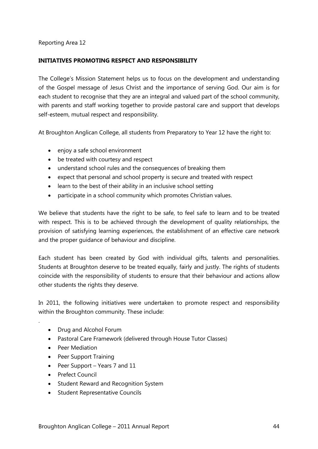#### **INITIATIVES PROMOTING RESPECT AND RESPONSIBILITY**

The College's Mission Statement helps us to focus on the development and understanding of the Gospel message of Jesus Christ and the importance of serving God. Our aim is for each student to recognise that they are an integral and valued part of the school community, with parents and staff working together to provide pastoral care and support that develops self-esteem, mutual respect and responsibility.

At Broughton Anglican College, all students from Preparatory to Year 12 have the right to:

- enjoy a safe school environment
- be treated with courtesy and respect
- understand school rules and the consequences of breaking them
- expect that personal and school property is secure and treated with respect
- learn to the best of their ability in an inclusive school setting
- participate in a school community which promotes Christian values.

We believe that students have the right to be safe, to feel safe to learn and to be treated with respect. This is to be achieved through the development of quality relationships, the provision of satisfying learning experiences, the establishment of an effective care network and the proper guidance of behaviour and discipline.

Each student has been created by God with individual gifts, talents and personalities. Students at Broughton deserve to be treated equally, fairly and justly. The rights of students coincide with the responsibility of students to ensure that their behaviour and actions allow other students the rights they deserve.

In 2011, the following initiatives were undertaken to promote respect and responsibility within the Broughton community. These include:

- Drug and Alcohol Forum
- Pastoral Care Framework (delivered through House Tutor Classes)
- Peer Mediation

.

- Peer Support Training
- Peer Support Years 7 and 11
- Prefect Council
- Student Reward and Recognition System
- Student Representative Councils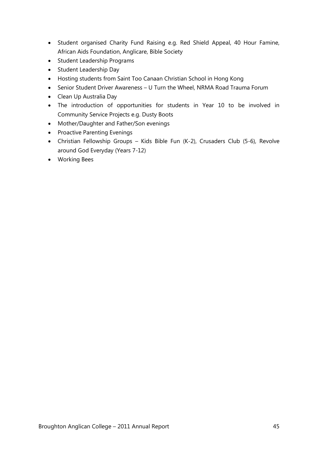- Student organised Charity Fund Raising e.g. Red Shield Appeal, 40 Hour Famine, African Aids Foundation, Anglicare, Bible Society
- Student Leadership Programs
- Student Leadership Day
- Hosting students from Saint Too Canaan Christian School in Hong Kong
- Senior Student Driver Awareness U Turn the Wheel, NRMA Road Trauma Forum
- Clean Up Australia Day
- The introduction of opportunities for students in Year 10 to be involved in Community Service Projects e.g. Dusty Boots
- Mother/Daughter and Father/Son evenings
- Proactive Parenting Evenings
- Christian Fellowship Groups Kids Bible Fun (K-2), Crusaders Club (5-6), Revolve around God Everyday (Years 7-12)
- Working Bees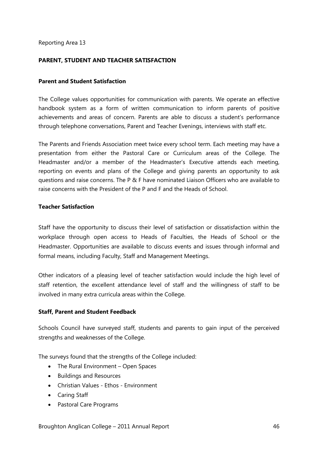#### **PARENT, STUDENT AND TEACHER SATISFACTION**

#### **Parent and Student Satisfaction**

The College values opportunities for communication with parents. We operate an effective handbook system as a form of written communication to inform parents of positive achievements and areas of concern. Parents are able to discuss a student's performance through telephone conversations, Parent and Teacher Evenings, interviews with staff etc.

The Parents and Friends Association meet twice every school term. Each meeting may have a presentation from either the Pastoral Care or Curriculum areas of the College. The Headmaster and/or a member of the Headmaster's Executive attends each meeting, reporting on events and plans of the College and giving parents an opportunity to ask questions and raise concerns. The P & F have nominated Liaison Officers who are available to raise concerns with the President of the P and F and the Heads of School.

#### **Teacher Satisfaction**

Staff have the opportunity to discuss their level of satisfaction or dissatisfaction within the workplace through open access to Heads of Faculties, the Heads of School or the Headmaster. Opportunities are available to discuss events and issues through informal and formal means, including Faculty, Staff and Management Meetings.

Other indicators of a pleasing level of teacher satisfaction would include the high level of staff retention, the excellent attendance level of staff and the willingness of staff to be involved in many extra curricula areas within the College.

#### **Staff, Parent and Student Feedback**

Schools Council have surveyed staff, students and parents to gain input of the perceived strengths and weaknesses of the College.

The surveys found that the strengths of the College included:

- The Rural Environment Open Spaces
- Buildings and Resources
- Christian Values Ethos Environment
- Caring Staff
- Pastoral Care Programs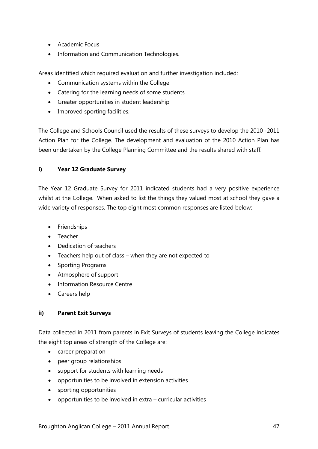- Academic Focus
- Information and Communication Technologies.

Areas identified which required evaluation and further investigation included:

- Communication systems within the College
- Catering for the learning needs of some students
- Greater opportunities in student leadership
- Improved sporting facilities.

The College and Schools Council used the results of these surveys to develop the 2010 -2011 Action Plan for the College. The development and evaluation of the 2010 Action Plan has been undertaken by the College Planning Committee and the results shared with staff.

#### **i) Year 12 Graduate Survey**

The Year 12 Graduate Survey for 2011 indicated students had a very positive experience whilst at the College. When asked to list the things they valued most at school they gave a wide variety of responses. The top eight most common responses are listed below:

- Friendships
- Teacher
- Dedication of teachers
- Teachers help out of class when they are not expected to
- Sporting Programs
- Atmosphere of support
- Information Resource Centre
- Careers help

#### **ii) Parent Exit Surveys**

Data collected in 2011 from parents in Exit Surveys of students leaving the College indicates the eight top areas of strength of the College are:

- career preparation
- peer group relationships
- support for students with learning needs
- opportunities to be involved in extension activities
- sporting opportunities
- opportunities to be involved in extra curricular activities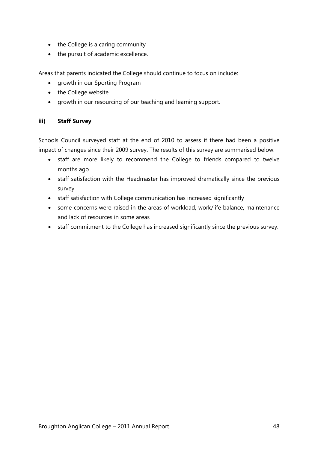- the College is a caring community
- the pursuit of academic excellence.

Areas that parents indicated the College should continue to focus on include:

- growth in our Sporting Program
- the College website
- growth in our resourcing of our teaching and learning support.

#### **iii) Staff Survey**

Schools Council surveyed staff at the end of 2010 to assess if there had been a positive impact of changes since their 2009 survey. The results of this survey are summarised below:

- staff are more likely to recommend the College to friends compared to twelve months ago
- staff satisfaction with the Headmaster has improved dramatically since the previous survey
- staff satisfaction with College communication has increased significantly
- some concerns were raised in the areas of workload, work/life balance, maintenance and lack of resources in some areas
- staff commitment to the College has increased significantly since the previous survey.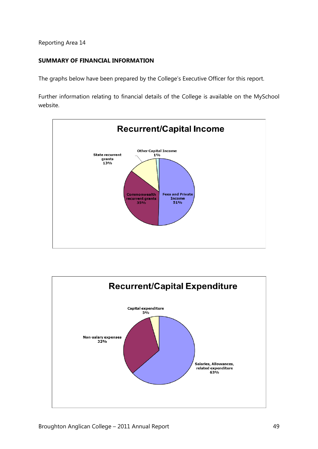#### **SUMMARY OF FINANCIAL INFORMATION**

The graphs below have been prepared by the College's Executive Officer for this report.

Further information relating to financial details of the College is available on the MySchool website.



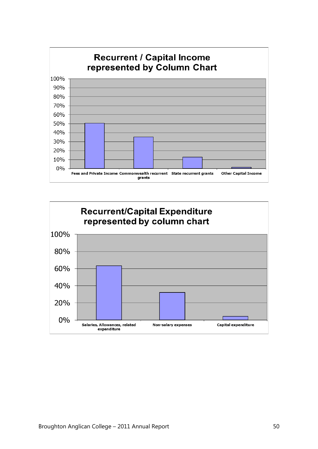

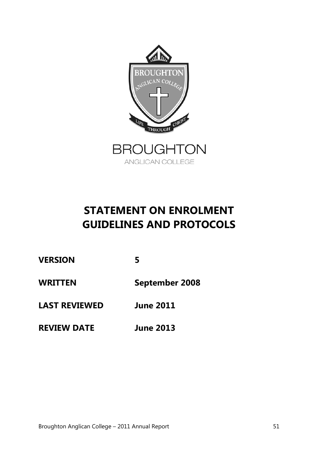

ANGLICAN COLLEGE

### **STATEMENT ON ENROLMENT GUIDELINES AND PROTOCOLS**

**VERSION 5**

**WRITTEN September 2008**

**LAST REVIEWED June 2011**

**REVIEW DATE June 2013**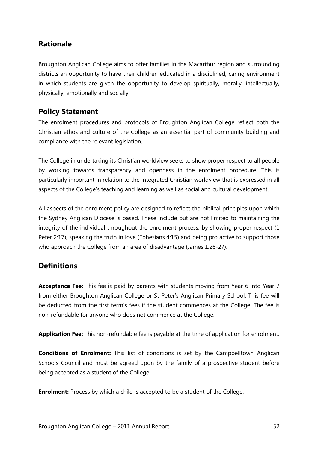#### **Rationale**

Broughton Anglican College aims to offer families in the Macarthur region and surrounding districts an opportunity to have their children educated in a disciplined, caring environment in which students are given the opportunity to develop spiritually, morally, intellectually, physically, emotionally and socially.

#### **Policy Statement**

The enrolment procedures and protocols of Broughton Anglican College reflect both the Christian ethos and culture of the College as an essential part of community building and compliance with the relevant legislation.

The College in undertaking its Christian worldview seeks to show proper respect to all people by working towards transparency and openness in the enrolment procedure. This is particularly important in relation to the integrated Christian worldview that is expressed in all aspects of the College's teaching and learning as well as social and cultural development.

All aspects of the enrolment policy are designed to reflect the biblical principles upon which the Sydney Anglican Diocese is based. These include but are not limited to maintaining the integrity of the individual throughout the enrolment process, by showing proper respect (1 Peter 2:17), speaking the truth in love (Ephesians 4:15) and being pro active to support those who approach the College from an area of disadvantage (James 1:26-27).

#### **Definitions**

**Acceptance Fee:** This fee is paid by parents with students moving from Year 6 into Year 7 from either Broughton Anglican College or St Peter's Anglican Primary School. This fee will be deducted from the first term's fees if the student commences at the College. The fee is non-refundable for anyone who does not commence at the College.

**Application Fee:** This non-refundable fee is payable at the time of application for enrolment.

**Conditions of Enrolment:** This list of conditions is set by the Campbelltown Anglican Schools Council and must be agreed upon by the family of a prospective student before being accepted as a student of the College.

**Enrolment:** Process by which a child is accepted to be a student of the College.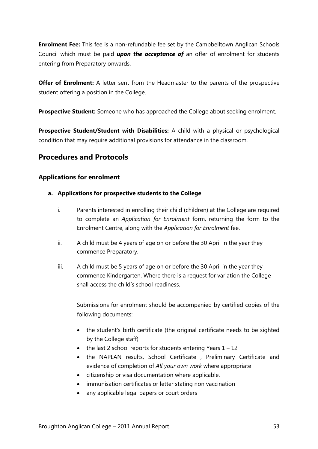**Enrolment Fee:** This fee is a non-refundable fee set by the Campbelltown Anglican Schools Council which must be paid *upon the acceptance of* an offer of enrolment for students entering from Preparatory onwards.

**Offer of Enrolment:** A letter sent from the Headmaster to the parents of the prospective student offering a position in the College.

**Prospective Student:** Someone who has approached the College about seeking enrolment.

**Prospective Student/Student with Disabilities:** A child with a physical or psychological condition that may require additional provisions for attendance in the classroom.

#### **Procedures and Protocols**

#### **Applications for enrolment**

- **a. Applications for prospective students to the College**
	- i. Parents interested in enrolling their child (children) at the College are required to complete an *Application for Enrolment* form, returning the form to the Enrolment Centre, along with the *Application for Enrolment* fee.
	- ii. A child must be 4 years of age on or before the 30 April in the year they commence Preparatory.
	- iii. A child must be 5 years of age on or before the 30 April in the year they commence Kindergarten. Where there is a request for variation the College shall access the child's school readiness.

Submissions for enrolment should be accompanied by certified copies of the following documents:

- the student's birth certificate (the original certificate needs to be sighted by the College staff)
- $\bullet$  the last 2 school reports for students entering Years  $1 12$
- the NAPLAN results, School Certificate , Preliminary Certificate and evidence of completion of *All your own work* where appropriate
- citizenship or visa documentation where applicable.
- immunisation certificates or letter stating non vaccination
- any applicable legal papers or court orders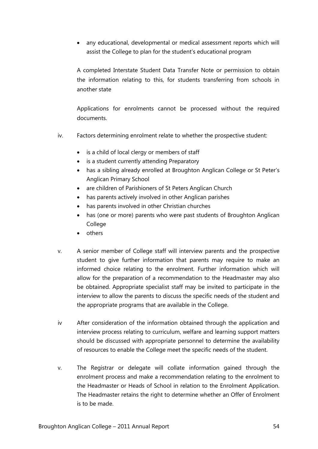• any educational, developmental or medical assessment reports which will assist the College to plan for the student's educational program

A completed Interstate Student Data Transfer Note or permission to obtain the information relating to this, for students transferring from schools in another state

Applications for enrolments cannot be processed without the required documents.

- iv. Factors determining enrolment relate to whether the prospective student:
	- is a child of local clergy or members of staff
	- is a student currently attending Preparatory
	- has a sibling already enrolled at Broughton Anglican College or St Peter's Anglican Primary School
	- are children of Parishioners of St Peters Anglican Church
	- has parents actively involved in other Anglican parishes
	- has parents involved in other Christian churches
	- has (one or more) parents who were past students of Broughton Anglican College
	- others
- v. A senior member of College staff will interview parents and the prospective student to give further information that parents may require to make an informed choice relating to the enrolment. Further information which will allow for the preparation of a recommendation to the Headmaster may also be obtained. Appropriate specialist staff may be invited to participate in the interview to allow the parents to discuss the specific needs of the student and the appropriate programs that are available in the College.
- iv After consideration of the information obtained through the application and interview process relating to curriculum, welfare and learning support matters should be discussed with appropriate personnel to determine the availability of resources to enable the College meet the specific needs of the student.
- v. The Registrar or delegate will collate information gained through the enrolment process and make a recommendation relating to the enrolment to the Headmaster or Heads of School in relation to the Enrolment Application. The Headmaster retains the right to determine whether an Offer of Enrolment is to be made.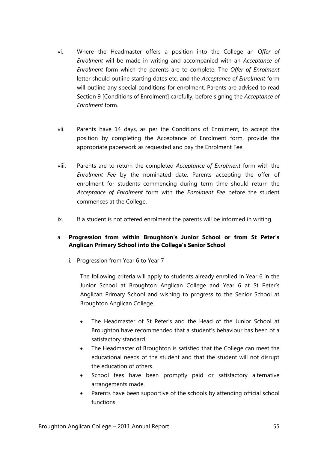- vi. Where the Headmaster offers a position into the College an *Offer of Enrolment* will be made in writing and accompanied with an *Acceptance of Enrolment* form which the parents are to complete. The *Offer of Enrolment* letter should outline starting dates etc. and the *Acceptance of Enrolment* form will outline any special conditions for enrolment. Parents are advised to read Section 9 [Conditions of Enrolment] carefully, before signing the *Acceptance of Enrolment* form.
- vii. Parents have 14 days, as per the Conditions of Enrolment, to accept the position by completing the Acceptance of Enrolment form, provide the appropriate paperwork as requested and pay the Enrolment Fee.
- viii. Parents are to return the completed *Acceptance of Enrolment* form with the *Enrolment Fee* by the nominated date. Parents accepting the offer of enrolment for students commencing during term time should return the *Acceptance of Enrolment* form with the *Enrolment Fee* before the student commences at the College.
- ix. If a student is not offered enrolment the parents will be informed in writing.

#### a. **Progression from within Broughton's Junior School or from St Peter's Anglican Primary School into the College's Senior School**

i. Progression from Year 6 to Year 7

The following criteria will apply to students already enrolled in Year 6 in the Junior School at Broughton Anglican College and Year 6 at St Peter's Anglican Primary School and wishing to progress to the Senior School at Broughton Anglican College.

- The Headmaster of St Peter's and the Head of the Junior School at Broughton have recommended that a student's behaviour has been of a satisfactory standard.
- The Headmaster of Broughton is satisfied that the College can meet the educational needs of the student and that the student will not disrupt the education of others.
- School fees have been promptly paid or satisfactory alternative arrangements made.
- Parents have been supportive of the schools by attending official school functions.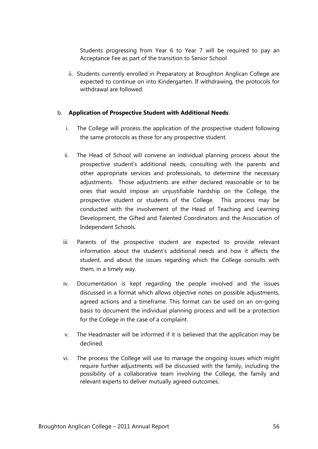Students progressing from Year 6 to Year 7 will be required to pay an Acceptance Fee as part of the transition to Senior School

ii. Students currently enrolled in Preparatory at Broughton Anglican College are expected to continue on into Kindergarten. If withdrawing, the protocols for withdrawal are followed.

#### b. **Application of Prospective Student with Additional Needs**

- i. The College will process the application of the prospective student following the same protocols as those for any prospective student.
- ii. The Head of School will convene an individual planning process about the prospective student's additional needs, consulting with the parents and other appropriate services and professionals, to determine the necessary adjustments. Those adjustments are either declared reasonable or to be ones that would impose an unjustifiable hardship on the College, the prospective student or students of the College. This process may be conducted with the involvement of the Head of Teaching and Learning Development, the Gifted and Talented Coordinators and the Association of Independent Schools.
- iii. Parents of the prospective student are expected to provide relevant information about the student's additional needs and how it affects the student, and about the issues regarding which the College consults with them, in a timely way.
- iv. Documentation is kept regarding the people involved and the issues discussed in a format which allows objective notes on possible adjustments, agreed actions and a timeframe. This format can be used on an on-going basis to document the individual planning process and will be a protection for the College in the case of a complaint.
- v. The Headmaster will be informed if it is believed that the application may be declined.
- vi. The process the College will use to manage the ongoing issues which might require further adjustments will be discussed with the family, including the possibility of a collaborative team involving the College, the family and relevant experts to deliver mutually agreed outcomes.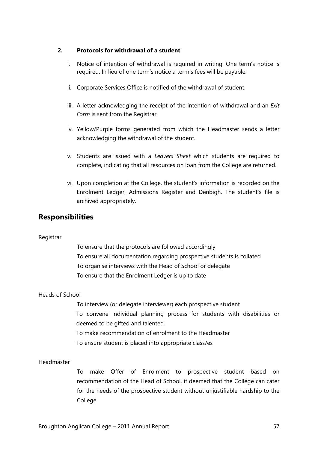#### **2. Protocols for withdrawal of a student**

- i. Notice of intention of withdrawal is required in writing. One term's notice is required. In lieu of one term's notice a term's fees will be payable.
- ii. Corporate Services Office is notified of the withdrawal of student.
- iii. A letter acknowledging the receipt of the intention of withdrawal and an *Exit Form* is sent from the Registrar.
- iv. Yellow/Purple forms generated from which the Headmaster sends a letter acknowledging the withdrawal of the student.
- v. Students are issued with a *Leavers Sheet* which students are required to complete, indicating that all resources on loan from the College are returned.
- vi. Upon completion at the College, the student's information is recorded on the Enrolment Ledger, Admissions Register and Denbigh. The student's file is archived appropriately.

#### **Responsibilities**

#### Registrar

To ensure that the protocols are followed accordingly To ensure all documentation regarding prospective students is collated To organise interviews with the Head of School or delegate To ensure that the Enrolment Ledger is up to date

#### Heads of School

To interview (or delegate interviewer) each prospective student To convene individual planning process for students with disabilities or deemed to be gifted and talented To make recommendation of enrolment to the Headmaster To ensure student is placed into appropriate class/es

#### Headmaster

To make Offer of Enrolment to prospective student based on recommendation of the Head of School, if deemed that the College can cater for the needs of the prospective student without unjustifiable hardship to the College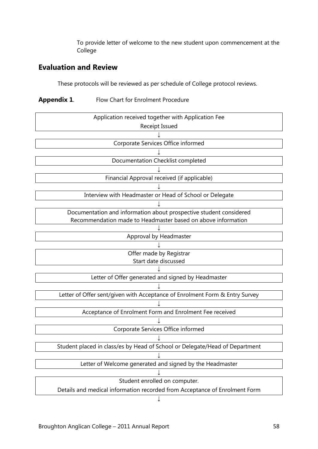To provide letter of welcome to the new student upon commencement at the College

#### **Evaluation and Review**

These protocols will be reviewed as per schedule of College protocol reviews.

#### **Appendix 1**. Flow Chart for Enrolment Procedure

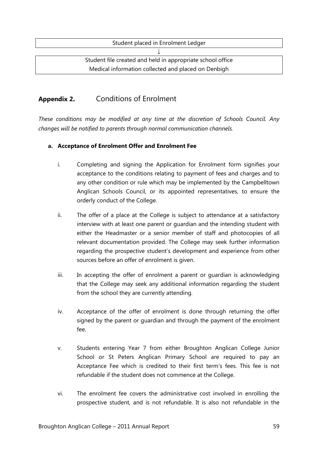| Student placed in Enrolment Ledger                         |
|------------------------------------------------------------|
|                                                            |
| Student file created and held in appropriate school office |
| Medical information collected and placed on Denbigh        |

#### **Appendix 2.** Conditions of Enrolment

*These conditions may be modified at any time at the discretion of Schools Council. Any changes will be notified to parents through normal communication channels.*

#### **a. Acceptance of Enrolment Offer and Enrolment Fee**

- i. Completing and signing the Application for Enrolment form signifies your acceptance to the conditions relating to payment of fees and charges and to any other condition or rule which may be implemented by the Campbelltown Anglican Schools Council, or its appointed representatives, to ensure the orderly conduct of the College.
- ii. The offer of a place at the College is subject to attendance at a satisfactory interview with at least one parent or guardian and the intending student with either the Headmaster or a senior member of staff and photocopies of all relevant documentation provided. The College may seek further information regarding the prospective student's development and experience from other sources before an offer of enrolment is given.
- iii. In accepting the offer of enrolment a parent or quardian is acknowledging that the College may seek any additional information regarding the student from the school they are currently attending.
- iv. Acceptance of the offer of enrolment is done through returning the offer signed by the parent or guardian and through the payment of the enrolment fee.
- v. Students entering Year 7 from either Broughton Anglican College Junior School or St Peters Anglican Primary School are required to pay an Acceptance Fee which is credited to their first term's fees. This fee is not refundable if the student does not commence at the College.
- vi. The enrolment fee covers the administrative cost involved in enrolling the prospective student, and is not refundable. It is also not refundable in the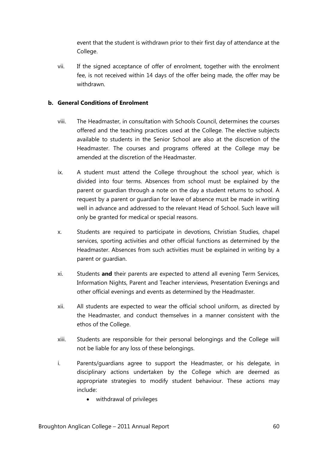event that the student is withdrawn prior to their first day of attendance at the College.

vii. If the signed acceptance of offer of enrolment, together with the enrolment fee, is not received within 14 days of the offer being made, the offer may be withdrawn.

#### **b. General Conditions of Enrolment**

- viii. The Headmaster, in consultation with Schools Council, determines the courses offered and the teaching practices used at the College. The elective subjects available to students in the Senior School are also at the discretion of the Headmaster. The courses and programs offered at the College may be amended at the discretion of the Headmaster.
- ix. A student must attend the College throughout the school year, which is divided into four terms. Absences from school must be explained by the parent or guardian through a note on the day a student returns to school. A request by a parent or guardian for leave of absence must be made in writing well in advance and addressed to the relevant Head of School. Such leave will only be granted for medical or special reasons.
- x. Students are required to participate in devotions, Christian Studies, chapel services, sporting activities and other official functions as determined by the Headmaster. Absences from such activities must be explained in writing by a parent or guardian.
- xi. Students **and** their parents are expected to attend all evening Term Services, Information Nights, Parent and Teacher interviews, Presentation Evenings and other official evenings and events as determined by the Headmaster.
- xii. All students are expected to wear the official school uniform, as directed by the Headmaster, and conduct themselves in a manner consistent with the ethos of the College.
- xiii. Students are responsible for their personal belongings and the College will not be liable for any loss of these belongings.
- i. Parents/guardians agree to support the Headmaster, or his delegate, in disciplinary actions undertaken by the College which are deemed as appropriate strategies to modify student behaviour. These actions may include:
	- withdrawal of privileges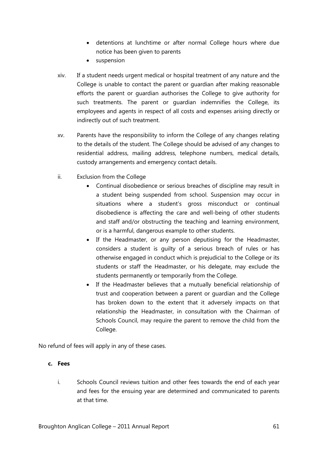- detentions at lunchtime or after normal College hours where due notice has been given to parents
- suspension
- xiv. If a student needs urgent medical or hospital treatment of any nature and the College is unable to contact the parent or guardian after making reasonable efforts the parent or guardian authorises the College to give authority for such treatments. The parent or guardian indemnifies the College, its employees and agents in respect of all costs and expenses arising directly or indirectly out of such treatment.
- xv. Parents have the responsibility to inform the College of any changes relating to the details of the student. The College should be advised of any changes to residential address, mailing address, telephone numbers, medical details, custody arrangements and emergency contact details.
- ii. Exclusion from the College
	- Continual disobedience or serious breaches of discipline may result in a student being suspended from school. Suspension may occur in situations where a student's gross misconduct or continual disobedience is affecting the care and well-being of other students and staff and/or obstructing the teaching and learning environment, or is a harmful, dangerous example to other students.
	- If the Headmaster, or any person deputising for the Headmaster, considers a student is guilty of a serious breach of rules or has otherwise engaged in conduct which is prejudicial to the College or its students or staff the Headmaster, or his delegate, may exclude the students permanently or temporarily from the College.
	- If the Headmaster believes that a mutually beneficial relationship of trust and cooperation between a parent or guardian and the College has broken down to the extent that it adversely impacts on that relationship the Headmaster, in consultation with the Chairman of Schools Council, may require the parent to remove the child from the College.

No refund of fees will apply in any of these cases.

#### **c. Fees**

i. Schools Council reviews tuition and other fees towards the end of each year and fees for the ensuing year are determined and communicated to parents at that time.